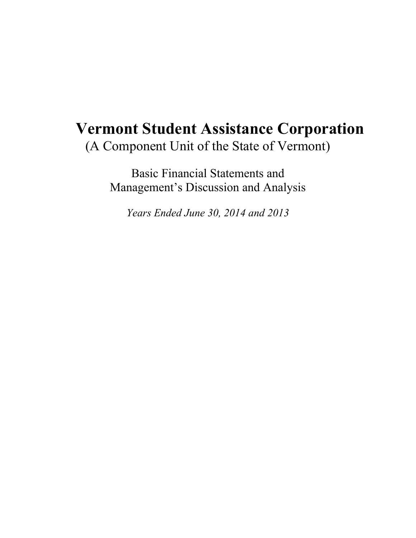# **Vermont Student Assistance Corporation**  (A Component Unit of the State of Vermont)

Basic Financial Statements and Management's Discussion and Analysis

*Years Ended June 30, 2014 and 2013*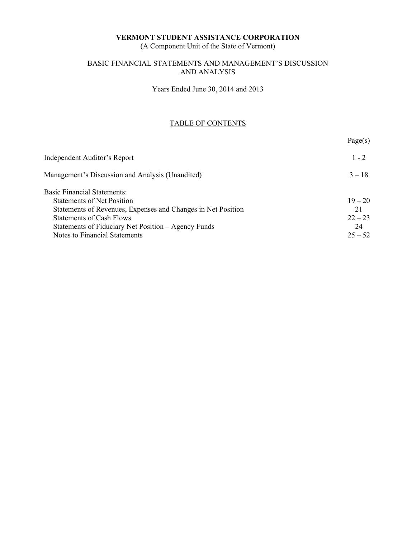(A Component Unit of the State of Vermont)

# BASIC FINANCIAL STATEMENTS AND MANAGEMENT'S DISCUSSION AND ANALYSIS

Years Ended June 30, 2014 and 2013

# TABLE OF CONTENTS

|                                                              | Page(s)   |
|--------------------------------------------------------------|-----------|
| Independent Auditor's Report                                 | $1 - 2$   |
| Management's Discussion and Analysis (Unaudited)             | $3 - 18$  |
| <b>Basic Financial Statements:</b>                           |           |
| <b>Statements of Net Position</b>                            | $19 - 20$ |
| Statements of Revenues, Expenses and Changes in Net Position | 21        |
| <b>Statements of Cash Flows</b>                              | $22 - 23$ |
| Statements of Fiduciary Net Position - Agency Funds          | 24        |
| Notes to Financial Statements                                | $25 - 52$ |
|                                                              |           |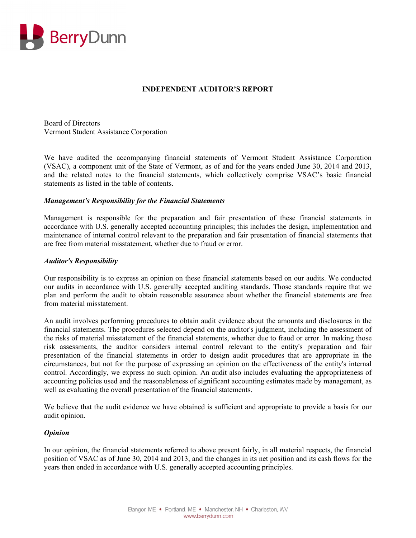

# **INDEPENDENT AUDITOR'S REPORT**

Board of Directors Vermont Student Assistance Corporation

We have audited the accompanying financial statements of Vermont Student Assistance Corporation (VSAC), a component unit of the State of Vermont, as of and for the years ended June 30, 2014 and 2013, and the related notes to the financial statements, which collectively comprise VSAC's basic financial statements as listed in the table of contents.

### *Management's Responsibility for the Financial Statements*

Management is responsible for the preparation and fair presentation of these financial statements in accordance with U.S. generally accepted accounting principles; this includes the design, implementation and maintenance of internal control relevant to the preparation and fair presentation of financial statements that are free from material misstatement, whether due to fraud or error.

### *Auditor's Responsibility*

Our responsibility is to express an opinion on these financial statements based on our audits. We conducted our audits in accordance with U.S. generally accepted auditing standards. Those standards require that we plan and perform the audit to obtain reasonable assurance about whether the financial statements are free from material misstatement.

An audit involves performing procedures to obtain audit evidence about the amounts and disclosures in the financial statements. The procedures selected depend on the auditor's judgment, including the assessment of the risks of material misstatement of the financial statements, whether due to fraud or error. In making those risk assessments, the auditor considers internal control relevant to the entity's preparation and fair presentation of the financial statements in order to design audit procedures that are appropriate in the circumstances, but not for the purpose of expressing an opinion on the effectiveness of the entity's internal control. Accordingly, we express no such opinion. An audit also includes evaluating the appropriateness of accounting policies used and the reasonableness of significant accounting estimates made by management, as well as evaluating the overall presentation of the financial statements.

We believe that the audit evidence we have obtained is sufficient and appropriate to provide a basis for our audit opinion.

#### *Opinion*

In our opinion, the financial statements referred to above present fairly, in all material respects, the financial position of VSAC as of June 30, 2014 and 2013, and the changes in its net position and its cash flows for the years then ended in accordance with U.S. generally accepted accounting principles.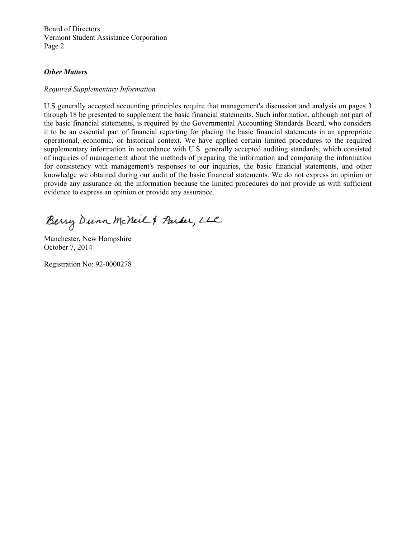Board of Directors Vermont Student Assistance Corporation Page 2

### *Other Matters*

#### *Required Supplementary Information*

U.S generally accepted accounting principles require that management's discussion and analysis on pages 3 through 18 be presented to supplement the basic financial statements. Such information, although not part of the basic financial statements, is required by the Governmental Accounting Standards Board, who considers it to be an essential part of financial reporting for placing the basic financial statements in an appropriate operational, economic, or historical context. We have applied certain limited procedures to the required supplementary information in accordance with U.S. generally accepted auditing standards, which consisted of inquiries of management about the methods of preparing the information and comparing the information for consistency with management's responses to our inquiries, the basic financial statements, and other knowledge we obtained during our audit of the basic financial statements. We do not express an opinion or provide any assurance on the information because the limited procedures do not provide us with sufficient evidence to express an opinion or provide any assurance.

Berry Dunn McNeil & Parker, LLC

Manchester, New Hampshire October 7, 2014

Registration No: 92-0000278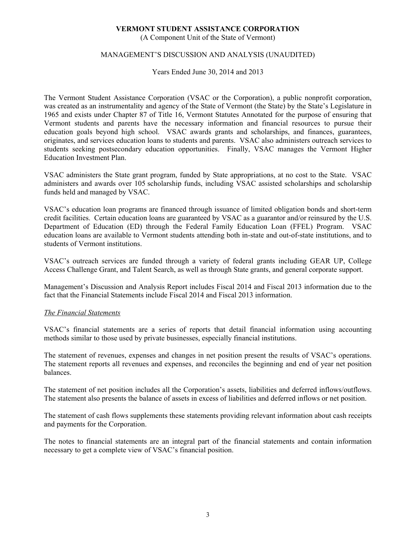(A Component Unit of the State of Vermont)

# MANAGEMENT'S DISCUSSION AND ANALYSIS (UNAUDITED)

Years Ended June 30, 2014 and 2013

The Vermont Student Assistance Corporation (VSAC or the Corporation), a public nonprofit corporation, was created as an instrumentality and agency of the State of Vermont (the State) by the State's Legislature in 1965 and exists under Chapter 87 of Title 16, Vermont Statutes Annotated for the purpose of ensuring that Vermont students and parents have the necessary information and financial resources to pursue their education goals beyond high school. VSAC awards grants and scholarships, and finances, guarantees, originates, and services education loans to students and parents. VSAC also administers outreach services to students seeking postsecondary education opportunities. Finally, VSAC manages the Vermont Higher Education Investment Plan.

VSAC administers the State grant program, funded by State appropriations, at no cost to the State. VSAC administers and awards over 105 scholarship funds, including VSAC assisted scholarships and scholarship funds held and managed by VSAC.

VSAC's education loan programs are financed through issuance of limited obligation bonds and short-term credit facilities. Certain education loans are guaranteed by VSAC as a guarantor and/or reinsured by the U.S. Department of Education (ED) through the Federal Family Education Loan (FFEL) Program. VSAC education loans are available to Vermont students attending both in-state and out-of-state institutions, and to students of Vermont institutions.

VSAC's outreach services are funded through a variety of federal grants including GEAR UP, College Access Challenge Grant, and Talent Search, as well as through State grants, and general corporate support.

Management's Discussion and Analysis Report includes Fiscal 2014 and Fiscal 2013 information due to the fact that the Financial Statements include Fiscal 2014 and Fiscal 2013 information.

# *The Financial Statements*

VSAC's financial statements are a series of reports that detail financial information using accounting methods similar to those used by private businesses, especially financial institutions.

The statement of revenues, expenses and changes in net position present the results of VSAC's operations. The statement reports all revenues and expenses, and reconciles the beginning and end of year net position balances.

The statement of net position includes all the Corporation's assets, liabilities and deferred inflows/outflows. The statement also presents the balance of assets in excess of liabilities and deferred inflows or net position.

The statement of cash flows supplements these statements providing relevant information about cash receipts and payments for the Corporation.

The notes to financial statements are an integral part of the financial statements and contain information necessary to get a complete view of VSAC's financial position.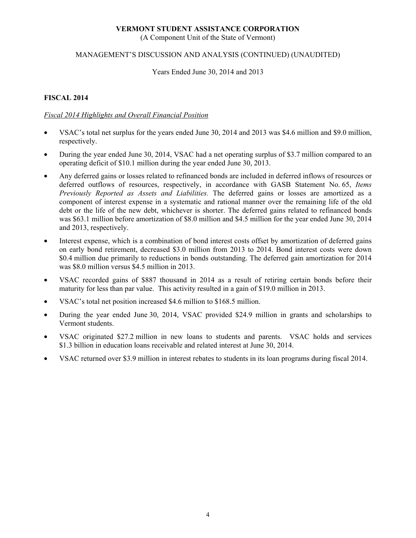(A Component Unit of the State of Vermont)

# MANAGEMENT'S DISCUSSION AND ANALYSIS (CONTINUED) (UNAUDITED)

Years Ended June 30, 2014 and 2013

# **FISCAL 2014**

# *Fiscal 2014 Highlights and Overall Financial Position*

- VSAC's total net surplus for the years ended June 30, 2014 and 2013 was \$4.6 million and \$9.0 million, respectively.
- During the year ended June 30, 2014, VSAC had a net operating surplus of \$3.7 million compared to an operating deficit of \$10.1 million during the year ended June 30, 2013.
- Any deferred gains or losses related to refinanced bonds are included in deferred inflows of resources or deferred outflows of resources, respectively, in accordance with GASB Statement No. 65, *Items Previously Reported as Assets and Liabilities.* The deferred gains or losses are amortized as a component of interest expense in a systematic and rational manner over the remaining life of the old debt or the life of the new debt, whichever is shorter. The deferred gains related to refinanced bonds was \$63.1 million before amortization of \$8.0 million and \$4.5 million for the year ended June 30, 2014 and 2013, respectively.
- Interest expense, which is a combination of bond interest costs offset by amortization of deferred gains on early bond retirement, decreased \$3.0 million from 2013 to 2014. Bond interest costs were down \$0.4 million due primarily to reductions in bonds outstanding. The deferred gain amortization for 2014 was \$8.0 million versus \$4.5 million in 2013.
- VSAC recorded gains of \$887 thousand in 2014 as a result of retiring certain bonds before their maturity for less than par value. This activity resulted in a gain of \$19.0 million in 2013.
- VSAC's total net position increased \$4.6 million to \$168.5 million.
- During the year ended June 30, 2014, VSAC provided \$24.9 million in grants and scholarships to Vermont students.
- VSAC originated \$27.2 million in new loans to students and parents. VSAC holds and services \$1.3 billion in education loans receivable and related interest at June 30, 2014.
- VSAC returned over \$3.9 million in interest rebates to students in its loan programs during fiscal 2014.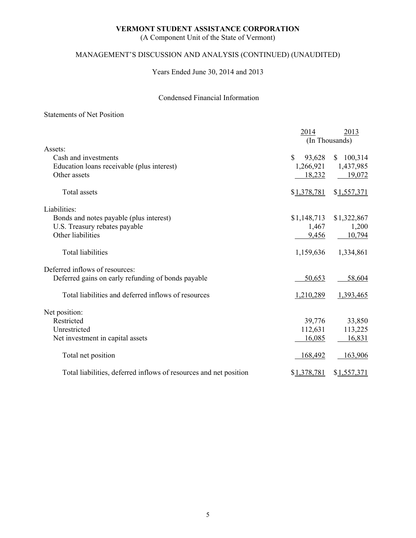(A Component Unit of the State of Vermont)

# MANAGEMENT'S DISCUSSION AND ANALYSIS (CONTINUED) (UNAUDITED)

Years Ended June 30, 2014 and 2013

# Condensed Financial Information

# Statements of Net Position

|                                                                   | 2014<br>(In Thousands) | 2013        |
|-------------------------------------------------------------------|------------------------|-------------|
| Assets:                                                           |                        |             |
| Cash and investments                                              | $\mathbf S$<br>93,628  | \$100,314   |
| Education loans receivable (plus interest)                        | 1,266,921              | 1,437,985   |
| Other assets                                                      | 18,232                 | 19,072      |
| Total assets                                                      | \$1,378,781            | \$1,557,371 |
| Liabilities:                                                      |                        |             |
| Bonds and notes payable (plus interest)                           | \$1,148,713            | \$1,322,867 |
| U.S. Treasury rebates payable                                     | 1,467                  | 1,200       |
| Other liabilities                                                 | 9,456                  | 10,794      |
| <b>Total liabilities</b>                                          | 1,159,636              | 1,334,861   |
| Deferred inflows of resources:                                    |                        |             |
| Deferred gains on early refunding of bonds payable                | 50,653                 | 58,604      |
| Total liabilities and deferred inflows of resources               | 1,210,289              | 1,393,465   |
| Net position:                                                     |                        |             |
| Restricted                                                        | 39,776                 | 33,850      |
| Unrestricted                                                      | 112,631                | 113,225     |
| Net investment in capital assets                                  | 16,085                 | 16,831      |
| Total net position                                                | 168,492                | 163,906     |
| Total liabilities, deferred inflows of resources and net position | \$1,378,781            | \$1,557,371 |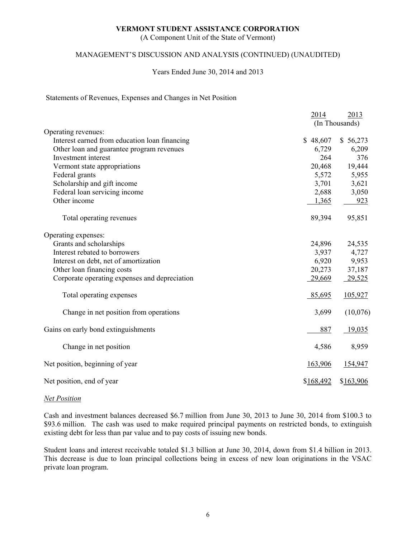(A Component Unit of the State of Vermont)

# MANAGEMENT'S DISCUSSION AND ANALYSIS (CONTINUED) (UNAUDITED)

### Years Ended June 30, 2014 and 2013

#### Statements of Revenues, Expenses and Changes in Net Position

|                                               | 2014      | 2013           |
|-----------------------------------------------|-----------|----------------|
|                                               |           | (In Thousands) |
| Operating revenues:                           |           |                |
| Interest earned from education loan financing | \$48,607  | \$56,273       |
| Other loan and guarantee program revenues     | 6,729     | 6,209          |
| Investment interest                           | 264       | 376            |
| Vermont state appropriations                  | 20,468    | 19,444         |
| Federal grants                                | 5,572     | 5,955          |
| Scholarship and gift income                   | 3,701     | 3,621          |
| Federal loan servicing income                 | 2,688     | 3,050          |
| Other income                                  | 1,365     | 923            |
| Total operating revenues                      | 89,394    | 95,851         |
| Operating expenses:                           |           |                |
| Grants and scholarships                       | 24,896    | 24,535         |
| Interest rebated to borrowers                 | 3,937     | 4,727          |
| Interest on debt, net of amortization         | 6,920     | 9,953          |
| Other loan financing costs                    | 20,273    | 37,187         |
| Corporate operating expenses and depreciation | 29,669    | 29,525         |
| Total operating expenses                      | 85,695    | 105,927        |
| Change in net position from operations        | 3,699     | (10,076)       |
| Gains on early bond extinguishments           | 887       | 19,035         |
| Change in net position                        | 4,586     | 8,959          |
| Net position, beginning of year               | 163,906   | 154,947        |
| Net position, end of year                     | \$168,492 | \$163,906      |

#### *Net Position*

Cash and investment balances decreased \$6.7 million from June 30, 2013 to June 30, 2014 from \$100.3 to \$93.6 million. The cash was used to make required principal payments on restricted bonds, to extinguish existing debt for less than par value and to pay costs of issuing new bonds.

Student loans and interest receivable totaled \$1.3 billion at June 30, 2014, down from \$1.4 billion in 2013. This decrease is due to loan principal collections being in excess of new loan originations in the VSAC private loan program.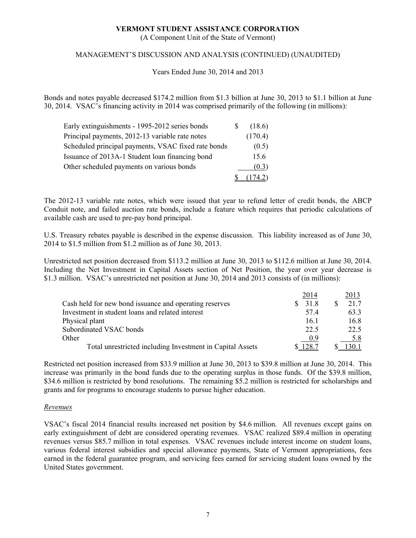(A Component Unit of the State of Vermont)

# MANAGEMENT'S DISCUSSION AND ANALYSIS (CONTINUED) (UNAUDITED)

Years Ended June 30, 2014 and 2013

Bonds and notes payable decreased \$174.2 million from \$1.3 billion at June 30, 2013 to \$1.1 billion at June 30, 2014. VSAC's financing activity in 2014 was comprised primarily of the following (in millions):

| Early extinguishments - 1995-2012 series bonds      | S | (18.6)  |
|-----------------------------------------------------|---|---------|
| Principal payments, 2012-13 variable rate notes     |   | (170.4) |
| Scheduled principal payments, VSAC fixed rate bonds |   | (0.5)   |
| Issuance of 2013A-1 Student loan financing bond     |   | 15.6    |
| Other scheduled payments on various bonds           |   | (0.3)   |
|                                                     |   | 174.2)  |

The 2012-13 variable rate notes, which were issued that year to refund letter of credit bonds, the ABCP Conduit note, and failed auction rate bonds, include a feature which requires that periodic calculations of available cash are used to pre-pay bond principal.

U.S. Treasury rebates payable is described in the expense discussion. This liability increased as of June 30, 2014 to \$1.5 million from \$1.2 million as of June 30, 2013.

Unrestricted net position decreased from \$113.2 million at June 30, 2013 to \$112.6 million at June 30, 2014. Including the Net Investment in Capital Assets section of Net Position, the year over year decrease is \$1.3 million. VSAC's unrestricted net position at June 30, 2014 and 2013 consists of (in millions):

|                                                           | 2014  | 2013 |
|-----------------------------------------------------------|-------|------|
| Cash held for new bond issuance and operating reserves    | 31.8  | 21.7 |
| Investment in student loans and related interest          | 57.4  | 63.3 |
| Physical plant                                            | 161   | 16.8 |
| Subordinated VSAC bonds                                   | 22.5  | 22.5 |
| Other                                                     | 0.9   | 5.8  |
| Total unrestricted including Investment in Capital Assets | .28.7 |      |

Restricted net position increased from \$33.9 million at June 30, 2013 to \$39.8 million at June 30, 2014. This increase was primarily in the bond funds due to the operating surplus in those funds. Of the \$39.8 million, \$34.6 million is restricted by bond resolutions. The remaining \$5.2 million is restricted for scholarships and grants and for programs to encourage students to pursue higher education.

#### *Revenues*

VSAC's fiscal 2014 financial results increased net position by \$4.6 million. All revenues except gains on early extinguishment of debt are considered operating revenues. VSAC realized \$89.4 million in operating revenues versus \$85.7 million in total expenses. VSAC revenues include interest income on student loans, various federal interest subsidies and special allowance payments, State of Vermont appropriations, fees earned in the federal guarantee program, and servicing fees earned for servicing student loans owned by the United States government.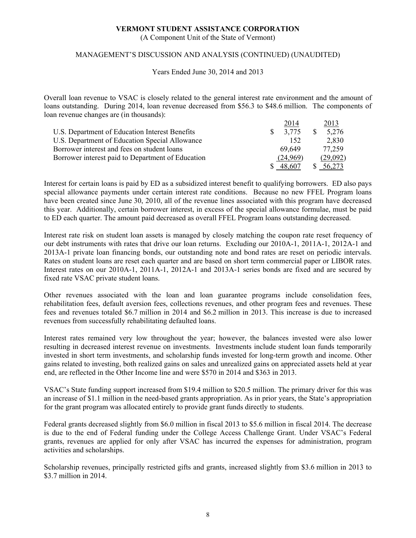(A Component Unit of the State of Vermont)

# MANAGEMENT'S DISCUSSION AND ANALYSIS (CONTINUED) (UNAUDITED)

Years Ended June 30, 2014 and 2013

Overall loan revenue to VSAC is closely related to the general interest rate environment and the amount of loans outstanding. During 2014, loan revenue decreased from \$56.3 to \$48.6 million. The components of loan revenue changes are (in thousands):

|                                                   | 2014     | 2013     |
|---------------------------------------------------|----------|----------|
| U.S. Department of Education Interest Benefits    | 3.775    | 5,276    |
| U.S. Department of Education Special Allowance    | 152      | 2,830    |
| Borrower interest and fees on student loans       | 69.649   | 77,259   |
| Borrower interest paid to Department of Education | (24,969) | (29,092) |
|                                                   | 48.607   | 56,273   |

Interest for certain loans is paid by ED as a subsidized interest benefit to qualifying borrowers. ED also pays special allowance payments under certain interest rate conditions. Because no new FFEL Program loans have been created since June 30, 2010, all of the revenue lines associated with this program have decreased this year. Additionally, certain borrower interest, in excess of the special allowance formulae, must be paid to ED each quarter. The amount paid decreased as overall FFEL Program loans outstanding decreased.

Interest rate risk on student loan assets is managed by closely matching the coupon rate reset frequency of our debt instruments with rates that drive our loan returns. Excluding our 2010A-1, 2011A-1, 2012A-1 and 2013A-1 private loan financing bonds, our outstanding note and bond rates are reset on periodic intervals. Rates on student loans are reset each quarter and are based on short term commercial paper or LIBOR rates. Interest rates on our 2010A-1, 2011A-1, 2012A-1 and 2013A-1 series bonds are fixed and are secured by fixed rate VSAC private student loans.

Other revenues associated with the loan and loan guarantee programs include consolidation fees, rehabilitation fees, default aversion fees, collections revenues, and other program fees and revenues. These fees and revenues totaled \$6.7 million in 2014 and \$6.2 million in 2013. This increase is due to increased revenues from successfully rehabilitating defaulted loans.

Interest rates remained very low throughout the year; however, the balances invested were also lower resulting in decreased interest revenue on investments. Investments include student loan funds temporarily invested in short term investments, and scholarship funds invested for long-term growth and income. Other gains related to investing, both realized gains on sales and unrealized gains on appreciated assets held at year end, are reflected in the Other Income line and were \$570 in 2014 and \$363 in 2013.

VSAC's State funding support increased from \$19.4 million to \$20.5 million. The primary driver for this was an increase of \$1.1 million in the need-based grants appropriation. As in prior years, the State's appropriation for the grant program was allocated entirely to provide grant funds directly to students.

Federal grants decreased slightly from \$6.0 million in fiscal 2013 to \$5.6 million in fiscal 2014. The decrease is due to the end of Federal funding under the College Access Challenge Grant. Under VSAC's Federal grants, revenues are applied for only after VSAC has incurred the expenses for administration, program activities and scholarships.

Scholarship revenues, principally restricted gifts and grants, increased slightly from \$3.6 million in 2013 to \$3.7 million in 2014.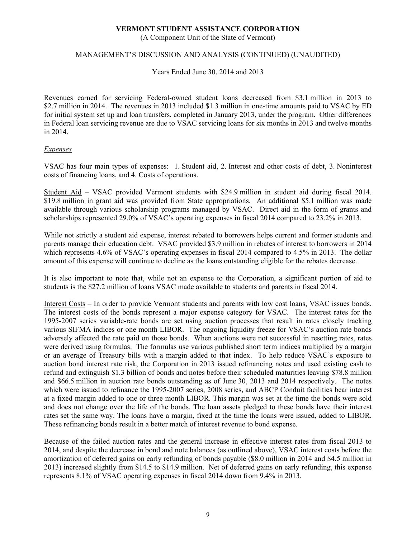(A Component Unit of the State of Vermont)

### MANAGEMENT'S DISCUSSION AND ANALYSIS (CONTINUED) (UNAUDITED)

Years Ended June 30, 2014 and 2013

Revenues earned for servicing Federal-owned student loans decreased from \$3.1 million in 2013 to \$2.7 million in 2014. The revenues in 2013 included \$1.3 million in one-time amounts paid to VSAC by ED for initial system set up and loan transfers, completed in January 2013, under the program. Other differences in Federal loan servicing revenue are due to VSAC servicing loans for six months in 2013 and twelve months in 2014.

### *Expenses*

VSAC has four main types of expenses: 1. Student aid, 2. Interest and other costs of debt, 3. Noninterest costs of financing loans, and 4. Costs of operations.

Student Aid – VSAC provided Vermont students with \$24.9 million in student aid during fiscal 2014. \$19.8 million in grant aid was provided from State appropriations. An additional \$5.1 million was made available through various scholarship programs managed by VSAC. Direct aid in the form of grants and scholarships represented 29.0% of VSAC's operating expenses in fiscal 2014 compared to 23.2% in 2013.

While not strictly a student aid expense, interest rebated to borrowers helps current and former students and parents manage their education debt. VSAC provided \$3.9 million in rebates of interest to borrowers in 2014 which represents 4.6% of VSAC's operating expenses in fiscal 2014 compared to 4.5% in 2013. The dollar amount of this expense will continue to decline as the loans outstanding eligible for the rebates decrease.

It is also important to note that, while not an expense to the Corporation, a significant portion of aid to students is the \$27.2 million of loans VSAC made available to students and parents in fiscal 2014.

Interest Costs – In order to provide Vermont students and parents with low cost loans, VSAC issues bonds. The interest costs of the bonds represent a major expense category for VSAC. The interest rates for the 1995-2007 series variable-rate bonds are set using auction processes that result in rates closely tracking various SIFMA indices or one month LIBOR. The ongoing liquidity freeze for VSAC's auction rate bonds adversely affected the rate paid on those bonds. When auctions were not successful in resetting rates, rates were derived using formulas. The formulas use various published short term indices multiplied by a margin or an average of Treasury bills with a margin added to that index. To help reduce VSAC's exposure to auction bond interest rate risk, the Corporation in 2013 issued refinancing notes and used existing cash to refund and extinguish \$1.3 billion of bonds and notes before their scheduled maturities leaving \$78.8 million and \$66.5 million in auction rate bonds outstanding as of June 30, 2013 and 2014 respectively. The notes which were issued to refinance the 1995-2007 series, 2008 series, and ABCP Conduit facilities bear interest at a fixed margin added to one or three month LIBOR. This margin was set at the time the bonds were sold and does not change over the life of the bonds. The loan assets pledged to these bonds have their interest rates set the same way. The loans have a margin, fixed at the time the loans were issued, added to LIBOR. These refinancing bonds result in a better match of interest revenue to bond expense.

Because of the failed auction rates and the general increase in effective interest rates from fiscal 2013 to 2014, and despite the decrease in bond and note balances (as outlined above), VSAC interest costs before the amortization of deferred gains on early refunding of bonds payable (\$8.0 million in 2014 and \$4.5 million in 2013) increased slightly from \$14.5 to \$14.9 million. Net of deferred gains on early refunding, this expense represents 8.1% of VSAC operating expenses in fiscal 2014 down from 9.4% in 2013.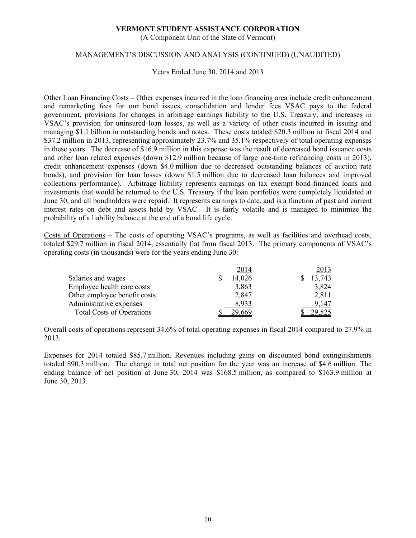(A Component Unit of the State of Vermont)

# MANAGEMENT'S DISCUSSION AND ANALYSIS (CONTINUED) (UNAUDITED)

Years Ended June 30, 2014 and 2013

Other Loan Financing Costs – Other expenses incurred in the loan financing area include credit enhancement and remarketing fees for our bond issues, consolidation and lender fees VSAC pays to the federal government, provisions for changes in arbitrage earnings liability to the U.S. Treasury, and increases in VSAC's provision for uninsured loan losses, as well as a variety of other costs incurred in issuing and managing \$1.1 billion in outstanding bonds and notes. These costs totaled \$20.3 million in fiscal 2014 and \$37.2 million in 2013, representing approximately 23.7% and 35.1% respectively of total operating expenses in these years. The decrease of \$16.9 million in this expense was the result of decreased bond issuance costs and other loan related expenses (down \$12.9 million because of large one-time refinancing costs in 2013), credit enhancement expenses (down \$4.0 million due to decreased outstanding balances of auction rate bonds), and provision for loan losses (down \$1.5 million due to decreased loan balances and improved collections performance). Arbitrage liability represents earnings on tax exempt bond-financed loans and investments that would be returned to the U.S. Treasury if the loan portfolios were completely liquidated at June 30, and all bondholders were repaid. It represents earnings to date, and is a function of past and current interest rates on debt and assets held by VSAC. It is fairly volatile and is managed to minimize the probability of a liability balance at the end of a bond life cycle.

Costs of Operations – The costs of operating VSAC's programs, as well as facilities and overhead costs, totaled \$29.7 million in fiscal 2014, essentially flat from fiscal 2013. The primary components of VSAC's operating costs (in thousands) were for the years ending June 30:

|                                  | 2014   | 2013   |
|----------------------------------|--------|--------|
| Salaries and wages               | 14,026 | 13,743 |
| Employee health care costs       | 3,863  | 3,824  |
| Other employee benefit costs     | 2,847  | 2,811  |
| Administrative expenses          | 8.933  | 9,147  |
| <b>Total Costs of Operations</b> | 29 669 |        |

Overall costs of operations represent 34.6% of total operating expenses in fiscal 2014 compared to 27.9% in 2013.

Expenses for 2014 totaled \$85.7 million. Revenues including gains on discounted bond extinguishments totaled \$90.3 million. The change in total net position for the year was an increase of \$4.6 million. The ending balance of net position at June 30, 2014 was \$168.5 million, as compared to \$163.9 million at June 30, 2013.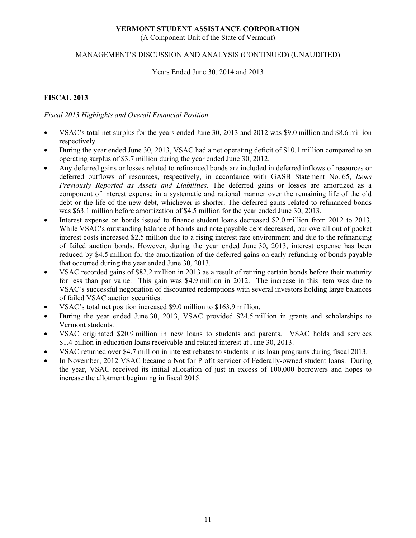(A Component Unit of the State of Vermont)

# MANAGEMENT'S DISCUSSION AND ANALYSIS (CONTINUED) (UNAUDITED)

Years Ended June 30, 2014 and 2013

# **FISCAL 2013**

# *Fiscal 2013 Highlights and Overall Financial Position*

- VSAC's total net surplus for the years ended June 30, 2013 and 2012 was \$9.0 million and \$8.6 million respectively.
- During the year ended June 30, 2013, VSAC had a net operating deficit of \$10.1 million compared to an operating surplus of \$3.7 million during the year ended June 30, 2012.
- Any deferred gains or losses related to refinanced bonds are included in deferred inflows of resources or deferred outflows of resources, respectively, in accordance with GASB Statement No. 65, *Items Previously Reported as Assets and Liabilities.* The deferred gains or losses are amortized as a component of interest expense in a systematic and rational manner over the remaining life of the old debt or the life of the new debt, whichever is shorter. The deferred gains related to refinanced bonds was \$63.1 million before amortization of \$4.5 million for the year ended June 30, 2013.
- Interest expense on bonds issued to finance student loans decreased \$2.0 million from 2012 to 2013. While VSAC's outstanding balance of bonds and note payable debt decreased, our overall out of pocket interest costs increased \$2.5 million due to a rising interest rate environment and due to the refinancing of failed auction bonds. However, during the year ended June 30, 2013, interest expense has been reduced by \$4.5 million for the amortization of the deferred gains on early refunding of bonds payable that occurred during the year ended June 30, 2013.
- VSAC recorded gains of \$82.2 million in 2013 as a result of retiring certain bonds before their maturity for less than par value. This gain was \$4.9 million in 2012. The increase in this item was due to VSAC's successful negotiation of discounted redemptions with several investors holding large balances of failed VSAC auction securities.
- VSAC's total net position increased \$9.0 million to \$163.9 million.
- During the year ended June 30, 2013, VSAC provided \$24.5 million in grants and scholarships to Vermont students.
- VSAC originated \$20.9 million in new loans to students and parents. VSAC holds and services \$1.4 billion in education loans receivable and related interest at June 30, 2013.
- VSAC returned over \$4.7 million in interest rebates to students in its loan programs during fiscal 2013.
- In November, 2012 VSAC became a Not for Profit servicer of Federally-owned student loans. During the year, VSAC received its initial allocation of just in excess of 100,000 borrowers and hopes to increase the allotment beginning in fiscal 2015.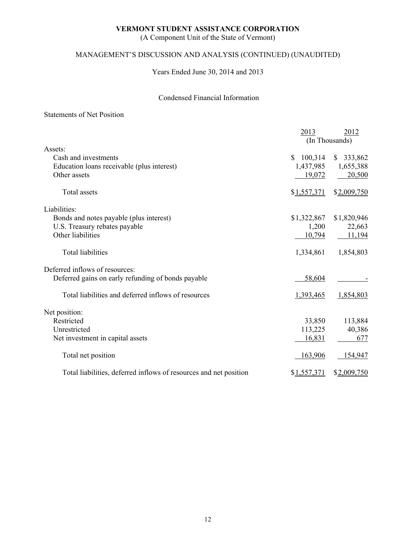(A Component Unit of the State of Vermont)

# MANAGEMENT'S DISCUSSION AND ANALYSIS (CONTINUED) (UNAUDITED)

Years Ended June 30, 2014 and 2013

# Condensed Financial Information

# Statements of Net Position

|                                                                   | 2013                     | 2012<br>(In Thousands) |
|-------------------------------------------------------------------|--------------------------|------------------------|
| Assets:                                                           |                          |                        |
| Cash and investments                                              | 100,314<br><sup>\$</sup> | \$333,862              |
| Education loans receivable (plus interest)                        | 1,437,985                | 1,655,388              |
| Other assets                                                      | 19,072                   | 20,500                 |
| Total assets                                                      | \$1,557,371              | \$2,009,750            |
| Liabilities:                                                      |                          |                        |
| Bonds and notes payable (plus interest)                           | \$1,322,867              | \$1,820,946            |
| U.S. Treasury rebates payable                                     | 1,200                    | 22,663                 |
| Other liabilities                                                 | 10,794                   | 11,194                 |
| <b>Total liabilities</b>                                          | 1,334,861                | 1,854,803              |
| Deferred inflows of resources:                                    |                          |                        |
| Deferred gains on early refunding of bonds payable                | 58,604                   |                        |
| Total liabilities and deferred inflows of resources               | 1,393,465                | 1,854,803              |
| Net position:                                                     |                          |                        |
| Restricted                                                        | 33,850                   | 113,884                |
| Unrestricted                                                      | 113,225                  | 40,386                 |
| Net investment in capital assets                                  | 16,831                   | 677                    |
| Total net position                                                | 163,906                  | 154,947                |
| Total liabilities, deferred inflows of resources and net position | \$1,557,371              | \$2,009,750            |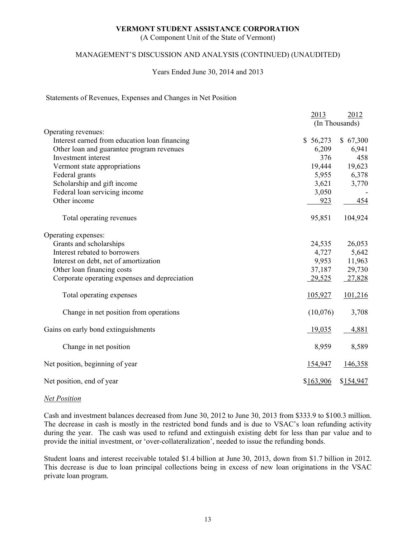(A Component Unit of the State of Vermont)

# MANAGEMENT'S DISCUSSION AND ANALYSIS (CONTINUED) (UNAUDITED)

### Years Ended June 30, 2014 and 2013

#### Statements of Revenues, Expenses and Changes in Net Position

|                                               | 2013      | 2012           |
|-----------------------------------------------|-----------|----------------|
|                                               |           | (In Thousands) |
| Operating revenues:                           |           |                |
| Interest earned from education loan financing | \$56,273  | \$67,300       |
| Other loan and guarantee program revenues     | 6,209     | 6,941          |
| Investment interest                           | 376       | 458            |
| Vermont state appropriations                  | 19,444    | 19,623         |
| Federal grants                                | 5,955     | 6,378          |
| Scholarship and gift income                   | 3,621     | 3,770          |
| Federal loan servicing income                 | 3,050     |                |
| Other income                                  | 923       | 454            |
| Total operating revenues                      | 95,851    | 104,924        |
| Operating expenses:                           |           |                |
| Grants and scholarships                       | 24,535    | 26,053         |
| Interest rebated to borrowers                 | 4,727     | 5,642          |
| Interest on debt, net of amortization         | 9,953     | 11,963         |
| Other loan financing costs                    | 37,187    | 29,730         |
| Corporate operating expenses and depreciation | 29,525    | 27,828         |
| Total operating expenses                      | 105,927   | 101,216        |
| Change in net position from operations        | (10,076)  | 3,708          |
| Gains on early bond extinguishments           | 19,035    | 4,881          |
| Change in net position                        | 8,959     | 8,589          |
| Net position, beginning of year               | 154,947   | 146,358        |
| Net position, end of year                     | \$163,906 | \$154,947      |

#### *Net Position*

Cash and investment balances decreased from June 30, 2012 to June 30, 2013 from \$333.9 to \$100.3 million. The decrease in cash is mostly in the restricted bond funds and is due to VSAC's loan refunding activity during the year. The cash was used to refund and extinguish existing debt for less than par value and to provide the initial investment, or 'over-collateralization', needed to issue the refunding bonds.

Student loans and interest receivable totaled \$1.4 billion at June 30, 2013, down from \$1.7 billion in 2012. This decrease is due to loan principal collections being in excess of new loan originations in the VSAC private loan program.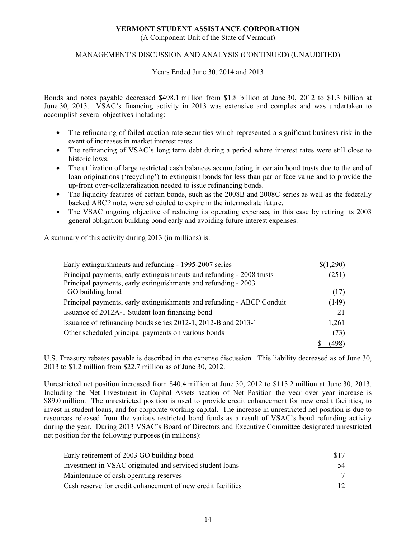(A Component Unit of the State of Vermont)

# MANAGEMENT'S DISCUSSION AND ANALYSIS (CONTINUED) (UNAUDITED)

Years Ended June 30, 2014 and 2013

Bonds and notes payable decreased \$498.1 million from \$1.8 billion at June 30, 2012 to \$1.3 billion at June 30, 2013. VSAC's financing activity in 2013 was extensive and complex and was undertaken to accomplish several objectives including:

- The refinancing of failed auction rate securities which represented a significant business risk in the event of increases in market interest rates.
- The refinancing of VSAC's long term debt during a period where interest rates were still close to historic lows.
- The utilization of large restricted cash balances accumulating in certain bond trusts due to the end of loan originations ('recycling') to extinguish bonds for less than par or face value and to provide the up-front over-collateralization needed to issue refinancing bonds.
- The liquidity features of certain bonds, such as the 2008B and 2008C series as well as the federally backed ABCP note, were scheduled to expire in the intermediate future.
- The VSAC ongoing objective of reducing its operating expenses, in this case by retiring its 2003 general obligation building bond early and avoiding future interest expenses.

A summary of this activity during 2013 (in millions) is:

| Early extinguishments and refunding - 1995-2007 series                 | \$(1,290) |
|------------------------------------------------------------------------|-----------|
| Principal payments, early extinguishments and refunding - 2008 trusts  | (251)     |
| Principal payments, early extinguishments and refunding - 2003         |           |
| GO building bond                                                       | (17)      |
| Principal payments, early extinguishments and refunding - ABCP Conduit | (149)     |
| Issuance of 2012A-1 Student loan financing bond                        | 21        |
| Issuance of refinancing bonds series 2012-1, 2012-B and 2013-1         | 1,261     |
| Other scheduled principal payments on various bonds                    | (73)      |
|                                                                        | 498.      |

U.S. Treasury rebates payable is described in the expense discussion. This liability decreased as of June 30, 2013 to \$1.2 million from \$22.7 million as of June 30, 2012.

Unrestricted net position increased from \$40.4 million at June 30, 2012 to \$113.2 million at June 30, 2013. Including the Net Investment in Capital Assets section of Net Position the year over year increase is \$89.0 million. The unrestricted position is used to provide credit enhancement for new credit facilities, to invest in student loans, and for corporate working capital. The increase in unrestricted net position is due to resources released from the various restricted bond funds as a result of VSAC's bond refunding activity during the year. During 2013 VSAC's Board of Directors and Executive Committee designated unrestricted net position for the following purposes (in millions):

| Early retirement of 2003 GO building bond                    | \$17 |
|--------------------------------------------------------------|------|
| Investment in VSAC originated and serviced student loans     |      |
| Maintenance of cash operating reserves                       |      |
| Cash reserve for credit enhancement of new credit facilities |      |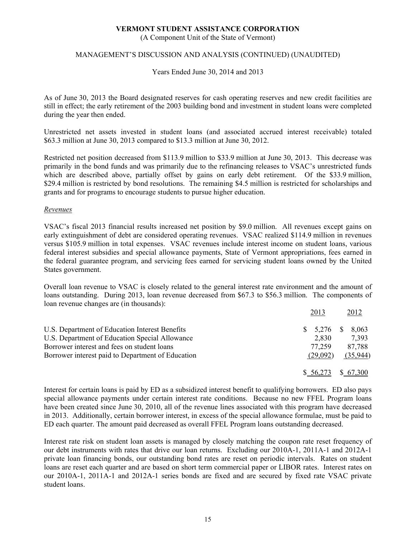(A Component Unit of the State of Vermont)

# MANAGEMENT'S DISCUSSION AND ANALYSIS (CONTINUED) (UNAUDITED)

Years Ended June 30, 2014 and 2013

As of June 30, 2013 the Board designated reserves for cash operating reserves and new credit facilities are still in effect; the early retirement of the 2003 building bond and investment in student loans were completed during the year then ended.

Unrestricted net assets invested in student loans (and associated accrued interest receivable) totaled \$63.3 million at June 30, 2013 compared to \$13.3 million at June 30, 2012.

Restricted net position decreased from \$113.9 million to \$33.9 million at June 30, 2013. This decrease was primarily in the bond funds and was primarily due to the refinancing releases to VSAC's unrestricted funds which are described above, partially offset by gains on early debt retirement. Of the \$33.9 million, \$29.4 million is restricted by bond resolutions. The remaining \$4.5 million is restricted for scholarships and grants and for programs to encourage students to pursue higher education.

### *Revenues*

VSAC's fiscal 2013 financial results increased net position by \$9.0 million. All revenues except gains on early extinguishment of debt are considered operating revenues. VSAC realized \$114.9 million in revenues versus \$105.9 million in total expenses. VSAC revenues include interest income on student loans, various federal interest subsidies and special allowance payments, State of Vermont appropriations, fees earned in the federal guarantee program, and servicing fees earned for servicing student loans owned by the United States government.

Overall loan revenue to VSAC is closely related to the general interest rate environment and the amount of loans outstanding. During 2013, loan revenue decreased from \$67.3 to \$56.3 million. The components of loan revenue changes are (in thousands):

|                                                   | 2013               | 2012     |
|---------------------------------------------------|--------------------|----------|
| U.S. Department of Education Interest Benefits    | $$5,276$ $$8,063$  |          |
| U.S. Department of Education Special Allowance    | 2,830              | 7.393    |
| Borrower interest and fees on student loans       | 77.259             | 87.788   |
| Borrower interest paid to Department of Education | (29,092)           | (35,944) |
|                                                   | $$6,273$ $$67,300$ |          |

Interest for certain loans is paid by ED as a subsidized interest benefit to qualifying borrowers. ED also pays special allowance payments under certain interest rate conditions. Because no new FFEL Program loans have been created since June 30, 2010, all of the revenue lines associated with this program have decreased in 2013. Additionally, certain borrower interest, in excess of the special allowance formulae, must be paid to ED each quarter. The amount paid decreased as overall FFEL Program loans outstanding decreased.

Interest rate risk on student loan assets is managed by closely matching the coupon rate reset frequency of our debt instruments with rates that drive our loan returns. Excluding our 2010A-1, 2011A-1 and 2012A-1 private loan financing bonds, our outstanding bond rates are reset on periodic intervals. Rates on student loans are reset each quarter and are based on short term commercial paper or LIBOR rates. Interest rates on our 2010A-1, 2011A-1 and 2012A-1 series bonds are fixed and are secured by fixed rate VSAC private student loans.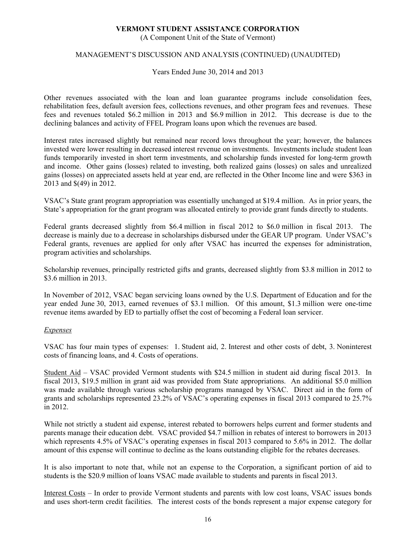(A Component Unit of the State of Vermont)

# MANAGEMENT'S DISCUSSION AND ANALYSIS (CONTINUED) (UNAUDITED)

Years Ended June 30, 2014 and 2013

Other revenues associated with the loan and loan guarantee programs include consolidation fees, rehabilitation fees, default aversion fees, collections revenues, and other program fees and revenues. These fees and revenues totaled \$6.2 million in 2013 and \$6.9 million in 2012. This decrease is due to the declining balances and activity of FFEL Program loans upon which the revenues are based.

Interest rates increased slightly but remained near record lows throughout the year; however, the balances invested were lower resulting in decreased interest revenue on investments. Investments include student loan funds temporarily invested in short term investments, and scholarship funds invested for long-term growth and income. Other gains (losses) related to investing, both realized gains (losses) on sales and unrealized gains (losses) on appreciated assets held at year end, are reflected in the Other Income line and were \$363 in 2013 and \$(49) in 2012.

VSAC's State grant program appropriation was essentially unchanged at \$19.4 million. As in prior years, the State's appropriation for the grant program was allocated entirely to provide grant funds directly to students.

Federal grants decreased slightly from \$6.4 million in fiscal 2012 to \$6.0 million in fiscal 2013. The decrease is mainly due to a decrease in scholarships disbursed under the GEAR UP program. Under VSAC's Federal grants, revenues are applied for only after VSAC has incurred the expenses for administration, program activities and scholarships.

Scholarship revenues, principally restricted gifts and grants, decreased slightly from \$3.8 million in 2012 to \$3.6 million in 2013.

In November of 2012, VSAC began servicing loans owned by the U.S. Department of Education and for the year ended June 30, 2013, earned revenues of \$3.1 million. Of this amount, \$1.3 million were one-time revenue items awarded by ED to partially offset the cost of becoming a Federal loan servicer.

# *Expenses*

VSAC has four main types of expenses: 1. Student aid, 2. Interest and other costs of debt, 3. Noninterest costs of financing loans, and 4. Costs of operations.

Student Aid – VSAC provided Vermont students with \$24.5 million in student aid during fiscal 2013. In fiscal 2013, \$19.5 million in grant aid was provided from State appropriations. An additional \$5.0 million was made available through various scholarship programs managed by VSAC. Direct aid in the form of grants and scholarships represented 23.2% of VSAC's operating expenses in fiscal 2013 compared to 25.7% in 2012.

While not strictly a student aid expense, interest rebated to borrowers helps current and former students and parents manage their education debt. VSAC provided \$4.7 million in rebates of interest to borrowers in 2013 which represents 4.5% of VSAC's operating expenses in fiscal 2013 compared to 5.6% in 2012. The dollar amount of this expense will continue to decline as the loans outstanding eligible for the rebates decreases.

It is also important to note that, while not an expense to the Corporation, a significant portion of aid to students is the \$20.9 million of loans VSAC made available to students and parents in fiscal 2013.

Interest Costs – In order to provide Vermont students and parents with low cost loans, VSAC issues bonds and uses short-term credit facilities. The interest costs of the bonds represent a major expense category for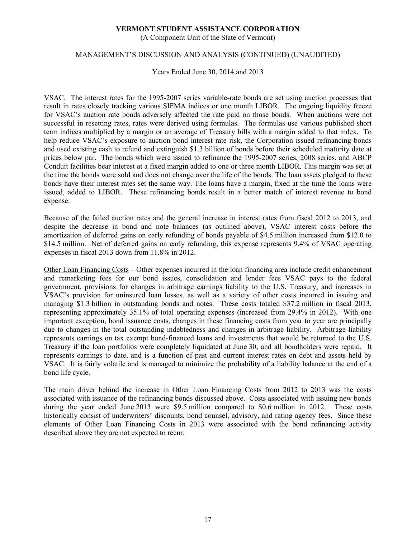(A Component Unit of the State of Vermont)

# MANAGEMENT'S DISCUSSION AND ANALYSIS (CONTINUED) (UNAUDITED)

Years Ended June 30, 2014 and 2013

VSAC. The interest rates for the 1995-2007 series variable-rate bonds are set using auction processes that result in rates closely tracking various SIFMA indices or one month LIBOR. The ongoing liquidity freeze for VSAC's auction rate bonds adversely affected the rate paid on those bonds. When auctions were not successful in resetting rates, rates were derived using formulas. The formulas use various published short term indices multiplied by a margin or an average of Treasury bills with a margin added to that index. To help reduce VSAC's exposure to auction bond interest rate risk, the Corporation issued refinancing bonds and used existing cash to refund and extinguish \$1.3 billion of bonds before their scheduled maturity date at prices below par. The bonds which were issued to refinance the 1995-2007 series, 2008 series, and ABCP Conduit facilities bear interest at a fixed margin added to one or three month LIBOR. This margin was set at the time the bonds were sold and does not change over the life of the bonds. The loan assets pledged to these bonds have their interest rates set the same way. The loans have a margin, fixed at the time the loans were issued, added to LIBOR. These refinancing bonds result in a better match of interest revenue to bond expense.

Because of the failed auction rates and the general increase in interest rates from fiscal 2012 to 2013, and despite the decrease in bond and note balances (as outlined above), VSAC interest costs before the amortization of deferred gains on early refunding of bonds payable of \$4.5 million increased from \$12.0 to \$14.5 million. Net of deferred gains on early refunding, this expense represents 9.4% of VSAC operating expenses in fiscal 2013 down from 11.8% in 2012.

Other Loan Financing Costs – Other expenses incurred in the loan financing area include credit enhancement and remarketing fees for our bond issues, consolidation and lender fees VSAC pays to the federal government, provisions for changes in arbitrage earnings liability to the U.S. Treasury, and increases in VSAC's provision for uninsured loan losses, as well as a variety of other costs incurred in issuing and managing \$1.3 billion in outstanding bonds and notes. These costs totaled \$37.2 million in fiscal 2013, representing approximately 35.1% of total operating expenses (increased from 29.4% in 2012). With one important exception, bond issuance costs, changes in these financing costs from year to year are principally due to changes in the total outstanding indebtedness and changes in arbitrage liability. Arbitrage liability represents earnings on tax exempt bond-financed loans and investments that would be returned to the U.S. Treasury if the loan portfolios were completely liquidated at June 30, and all bondholders were repaid. It represents earnings to date, and is a function of past and current interest rates on debt and assets held by VSAC. It is fairly volatile and is managed to minimize the probability of a liability balance at the end of a bond life cycle.

The main driver behind the increase in Other Loan Financing Costs from 2012 to 2013 was the costs associated with issuance of the refinancing bonds discussed above. Costs associated with issuing new bonds during the year ended June 2013 were \$9.5 million compared to \$0.6 million in 2012. These costs historically consist of underwriters' discounts, bond counsel, advisory, and rating agency fees. Since these elements of Other Loan Financing Costs in 2013 were associated with the bond refinancing activity described above they are not expected to recur.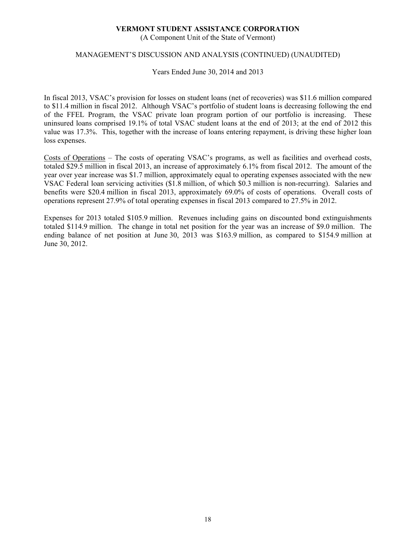(A Component Unit of the State of Vermont)

# MANAGEMENT'S DISCUSSION AND ANALYSIS (CONTINUED) (UNAUDITED)

Years Ended June 30, 2014 and 2013

In fiscal 2013, VSAC's provision for losses on student loans (net of recoveries) was \$11.6 million compared to \$11.4 million in fiscal 2012. Although VSAC's portfolio of student loans is decreasing following the end of the FFEL Program, the VSAC private loan program portion of our portfolio is increasing. These uninsured loans comprised 19.1% of total VSAC student loans at the end of 2013; at the end of 2012 this value was 17.3%. This, together with the increase of loans entering repayment, is driving these higher loan loss expenses.

Costs of Operations – The costs of operating VSAC's programs, as well as facilities and overhead costs, totaled \$29.5 million in fiscal 2013, an increase of approximately 6.1% from fiscal 2012. The amount of the year over year increase was \$1.7 million, approximately equal to operating expenses associated with the new VSAC Federal loan servicing activities (\$1.8 million, of which \$0.3 million is non-recurring). Salaries and benefits were \$20.4 million in fiscal 2013, approximately 69.0% of costs of operations. Overall costs of operations represent 27.9% of total operating expenses in fiscal 2013 compared to 27.5% in 2012.

Expenses for 2013 totaled \$105.9 million. Revenues including gains on discounted bond extinguishments totaled \$114.9 million. The change in total net position for the year was an increase of \$9.0 million. The ending balance of net position at June 30, 2013 was \$163.9 million, as compared to \$154.9 million at June 30, 2012.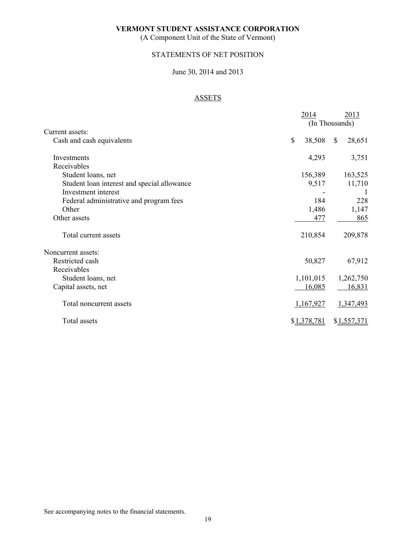(A Component Unit of the State of Vermont)

# STATEMENTS OF NET POSITION

# June 30, 2014 and 2013

# ASSETS

|                                             | 2014<br>(In Thousands) |               | 2013        |
|---------------------------------------------|------------------------|---------------|-------------|
| Current assets:                             |                        |               |             |
| Cash and cash equivalents                   | \$<br>38,508           | <sup>\$</sup> | 28,651      |
| Investments                                 | 4,293                  |               | 3,751       |
| Receivables                                 |                        |               |             |
| Student loans, net                          | 156,389                |               | 163,525     |
| Student loan interest and special allowance | 9,517                  |               | 11,710      |
| Investment interest                         |                        |               |             |
| Federal administrative and program fees     | 184                    |               | 228         |
| Other                                       | 1,486                  |               | 1,147       |
| Other assets                                | 477                    |               | 865         |
| Total current assets                        | 210,854                |               | 209,878     |
| Noncurrent assets:                          |                        |               |             |
| Restricted cash                             | 50,827                 |               | 67,912      |
| Receivables                                 |                        |               |             |
| Student loans, net                          | 1,101,015              |               | 1,262,750   |
| Capital assets, net                         | 16,085                 |               | 16,831      |
| Total noncurrent assets                     | 1,167,927              |               | 1,347,493   |
| Total assets                                | \$1,378,781            |               | \$1,557,371 |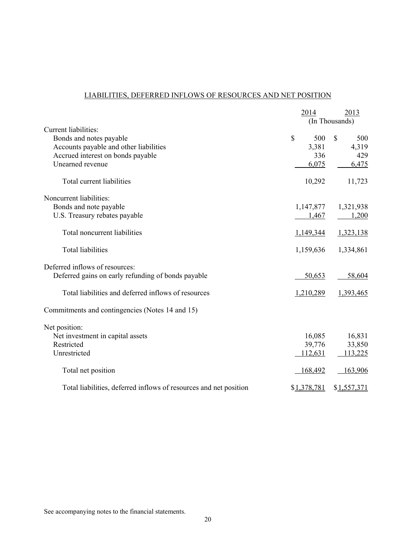# LIABILITIES, DEFERRED INFLOWS OF RESOURCES AND NET POSITION

|                                                                   |                | 2014        |    | 2013        |
|-------------------------------------------------------------------|----------------|-------------|----|-------------|
|                                                                   | (In Thousands) |             |    |             |
| Current liabilities:                                              |                |             |    |             |
| Bonds and notes payable                                           | \$             | 500         | \$ | 500         |
| Accounts payable and other liabilities                            |                | 3,381       |    | 4,319       |
| Accrued interest on bonds payable                                 |                | 336         |    | 429         |
| Unearned revenue                                                  |                | 6,075       |    | 6,475       |
| Total current liabilities                                         |                | 10,292      |    | 11,723      |
| Noncurrent liabilities:                                           |                |             |    |             |
| Bonds and note payable                                            |                | 1,147,877   |    | 1,321,938   |
| U.S. Treasury rebates payable                                     |                | 1,467       |    | 1,200       |
| Total noncurrent liabilities                                      |                | 1,149,344   |    | 1,323,138   |
| <b>Total liabilities</b>                                          |                | 1,159,636   |    | 1,334,861   |
| Deferred inflows of resources:                                    |                |             |    |             |
| Deferred gains on early refunding of bonds payable                |                | 50,653      |    | 58,604      |
| Total liabilities and deferred inflows of resources               |                | 1,210,289   |    | 1,393,465   |
| Commitments and contingencies (Notes 14 and 15)                   |                |             |    |             |
| Net position:                                                     |                |             |    |             |
| Net investment in capital assets                                  |                | 16,085      |    | 16,831      |
| Restricted                                                        |                | 39,776      |    | 33,850      |
| Unrestricted                                                      |                | 112,631     |    | 113,225     |
| Total net position                                                |                | 168,492     |    | 163,906     |
| Total liabilities, deferred inflows of resources and net position |                | \$1,378,781 |    | \$1,557,371 |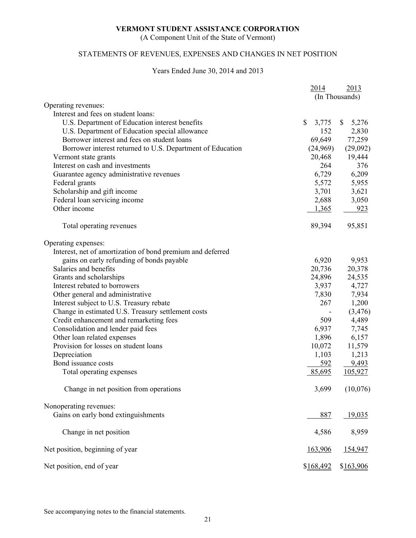(A Component Unit of the State of Vermont)

# STATEMENTS OF REVENUES, EXPENSES AND CHANGES IN NET POSITION

# Years Ended June 30, 2014 and 2013

|                                                            | 2014        | 2013                  |
|------------------------------------------------------------|-------------|-----------------------|
|                                                            |             | (In Thousands)        |
| Operating revenues:                                        |             |                       |
| Interest and fees on student loans:                        |             |                       |
| U.S. Department of Education interest benefits             | \$<br>3,775 | 5,276<br>$\mathbb{S}$ |
| U.S. Department of Education special allowance             | 152         | 2,830                 |
| Borrower interest and fees on student loans                | 69,649      | 77,259                |
| Borrower interest returned to U.S. Department of Education | (24,969)    | (29,092)              |
| Vermont state grants                                       | 20,468      | 19,444                |
| Interest on cash and investments                           | 264         | 376                   |
| Guarantee agency administrative revenues                   | 6,729       | 6,209                 |
| Federal grants                                             | 5,572       | 5,955                 |
| Scholarship and gift income                                | 3,701       | 3,621                 |
| Federal loan servicing income                              | 2,688       | 3,050                 |
| Other income                                               | 1,365       | 923                   |
| Total operating revenues                                   | 89,394      | 95,851                |
| Operating expenses:                                        |             |                       |
| Interest, net of amortization of bond premium and deferred |             |                       |
| gains on early refunding of bonds payable                  | 6,920       | 9,953                 |
| Salaries and benefits                                      | 20,736      | 20,378                |
| Grants and scholarships                                    | 24,896      | 24,535                |
| Interest rebated to borrowers                              | 3,937       | 4,727                 |
| Other general and administrative                           | 7,830       | 7,934                 |
| Interest subject to U.S. Treasury rebate                   | 267         | 1,200                 |
| Change in estimated U.S. Treasury settlement costs         |             | (3, 476)              |
| Credit enhancement and remarketing fees                    | 509         | 4,489                 |
| Consolidation and lender paid fees                         | 6,937       | 7,745                 |
| Other loan related expenses                                | 1,896       | 6,157                 |
| Provision for losses on student loans                      | 10,072      | 11,579                |
| Depreciation                                               | 1,103       | 1,213                 |
| Bond issuance costs                                        | 592         | 9,493                 |
| Total operating expenses                                   | 85,695      | 105,927               |
| Change in net position from operations                     | 3,699       | (10,076)              |
| Nonoperating revenues:                                     |             |                       |
| Gains on early bond extinguishments                        | 887         | 19,035                |
| Change in net position                                     | 4,586       | 8,959                 |
| Net position, beginning of year                            | 163,906     | 154,947               |
| Net position, end of year                                  | \$168,492   | \$163,906             |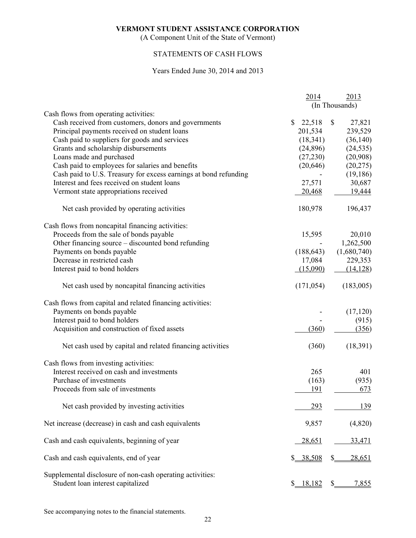(A Component Unit of the State of Vermont)

# STATEMENTS OF CASH FLOWS

#### Years Ended June 30, 2014 and 2013

|                                                                  | 2014                   | 2013                   |
|------------------------------------------------------------------|------------------------|------------------------|
|                                                                  |                        | (In Thousands)         |
| Cash flows from operating activities:                            |                        |                        |
| Cash received from customers, donors and governments             | $\mathbb{S}$<br>22,518 | $\mathbb{S}$<br>27,821 |
| Principal payments received on student loans                     | 201,534                | 239,529                |
| Cash paid to suppliers for goods and services                    | (18, 341)              | (36, 140)              |
| Grants and scholarship disbursements                             | (24,896)               | (24, 535)              |
| Loans made and purchased                                         | (27, 230)              | (20,908)               |
| Cash paid to employees for salaries and benefits                 | (20, 646)              | (20, 275)              |
| Cash paid to U.S. Treasury for excess earnings at bond refunding |                        | (19, 186)              |
| Interest and fees received on student loans                      | 27,571                 | 30,687                 |
| Vermont state appropriations received                            | 20,468                 | 19,444                 |
| Net cash provided by operating activities                        | 180,978                | 196,437                |
| Cash flows from noncapital financing activities:                 |                        |                        |
| Proceeds from the sale of bonds payable                          | 15,595                 | 20,010                 |
| Other financing source – discounted bond refunding               |                        | 1,262,500              |
| Payments on bonds payable                                        | (188, 643)             | (1,680,740)            |
| Decrease in restricted cash                                      | 17,084                 | 229,353                |
| Interest paid to bond holders                                    | (15,090)               | (14, 128)              |
| Net cash used by noncapital financing activities                 | (171, 054)             | (183,005)              |
| Cash flows from capital and related financing activities:        |                        |                        |
| Payments on bonds payable                                        |                        | (17, 120)              |
| Interest paid to bond holders                                    |                        | (915)                  |
| Acquisition and construction of fixed assets                     | (360)                  | (356)                  |
| Net cash used by capital and related financing activities        | (360)                  | (18, 391)              |
| Cash flows from investing activities:                            |                        |                        |
| Interest received on cash and investments                        | 265                    | 401                    |
| Purchase of investments                                          | (163)                  | (935)                  |
| Proceeds from sale of investments                                | 191                    | 673                    |
| Net cash provided by investing activities                        | 293                    | 139                    |
| Net increase (decrease) in cash and cash equivalents             | 9,857                  | (4,820)                |
| Cash and cash equivalents, beginning of year                     | 28,651                 | 33,471                 |
|                                                                  |                        |                        |
| Cash and cash equivalents, end of year                           | \$ 38,508              | \$.<br>28,651          |
| Supplemental disclosure of non-cash operating activities:        |                        |                        |
| Student loan interest capitalized                                | \$ 18,182              | 7,855<br>$S_{-}$       |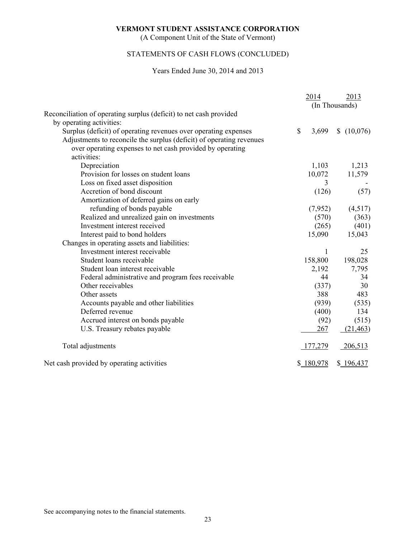(A Component Unit of the State of Vermont)

# STATEMENTS OF CASH FLOWS (CONCLUDED)

### Years Ended June 30, 2014 and 2013

|                                                                      | 2014                  | 2013           |
|----------------------------------------------------------------------|-----------------------|----------------|
|                                                                      |                       | (In Thousands) |
| Reconciliation of operating surplus (deficit) to net cash provided   |                       |                |
| by operating activities:                                             |                       |                |
| Surplus (deficit) of operating revenues over operating expenses      | $\mathbb{S}$<br>3,699 | \$(10,076)     |
| Adjustments to reconcile the surplus (deficit) of operating revenues |                       |                |
| over operating expenses to net cash provided by operating            |                       |                |
| activities:                                                          |                       |                |
| Depreciation                                                         | 1,103                 | 1,213          |
| Provision for losses on student loans                                | 10,072                | 11,579         |
| Loss on fixed asset disposition                                      | 3                     |                |
| Accretion of bond discount                                           | (126)                 | (57)           |
| Amortization of deferred gains on early                              |                       |                |
| refunding of bonds payable                                           | (7,952)               | (4,517)        |
| Realized and unrealized gain on investments                          | (570)                 | (363)          |
| Investment interest received                                         | (265)                 | (401)          |
| Interest paid to bond holders                                        | 15,090                | 15,043         |
| Changes in operating assets and liabilities:                         |                       |                |
| Investment interest receivable                                       | $\mathbf{1}$          | 25             |
| Student loans receivable                                             | 158,800               | 198,028        |
| Student loan interest receivable                                     | 2,192                 | 7,795          |
| Federal administrative and program fees receivable                   | 44                    | 34             |
| Other receivables                                                    | (337)                 | 30             |
| Other assets                                                         | 388                   | 483            |
| Accounts payable and other liabilities                               | (939)                 | (535)          |
| Deferred revenue                                                     | (400)                 | 134            |
| Accrued interest on bonds payable                                    | (92)                  | (515)          |
| U.S. Treasury rebates payable                                        | 267                   | (21, 463)      |
| Total adjustments                                                    | 177,279               | 206,513        |
| Net cash provided by operating activities                            | \$180,978             | \$196,437      |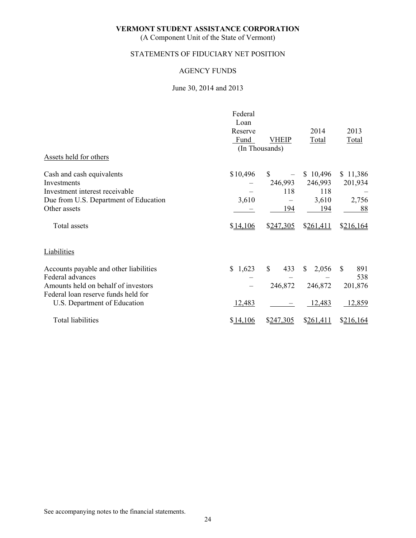(A Component Unit of the State of Vermont)

# STATEMENTS OF FIDUCIARY NET POSITION

# AGENCY FUNDS

# June 30, 2014 and 2013

| Assets held for others                                                                                                                                                   | Federal<br>Loan<br>Reserve<br>Fund | <b>VHEIP</b><br>(In Thousands)  | 2014<br>Total                              | 2013<br>Total                        |
|--------------------------------------------------------------------------------------------------------------------------------------------------------------------------|------------------------------------|---------------------------------|--------------------------------------------|--------------------------------------|
| Cash and cash equivalents<br>Investments<br>Investment interest receivable<br>Due from U.S. Department of Education<br>Other assets                                      | \$10,496<br>3,610                  | S.<br>246,993<br>118<br>194     | \$10,496<br>246,993<br>118<br>3,610<br>194 | \$11,386<br>201,934<br>2,756<br>88   |
| Total assets                                                                                                                                                             | \$14,106                           | \$247,305                       | \$261,411                                  | \$216,164                            |
| <b>Liabilities</b>                                                                                                                                                       |                                    |                                 |                                            |                                      |
| Accounts payable and other liabilities<br>Federal advances<br>Amounts held on behalf of investors<br>Federal loan reserve funds held for<br>U.S. Department of Education | \$1,623<br>12,483                  | <sup>\$</sup><br>433<br>246,872 | $\mathbb{S}$<br>2,056<br>246,872<br>12,483 | S<br>891<br>538<br>201,876<br>12,859 |
| <b>Total liabilities</b>                                                                                                                                                 | \$14,106                           | \$247,305                       | \$261,411                                  | \$216,164                            |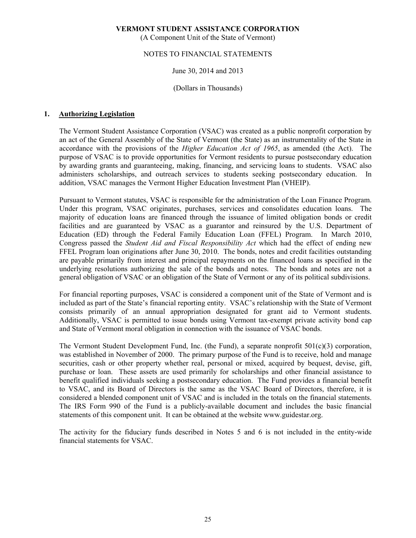(A Component Unit of the State of Vermont)

# NOTES TO FINANCIAL STATEMENTS

# June 30, 2014 and 2013

# (Dollars in Thousands)

# **1. Authorizing Legislation**

 The Vermont Student Assistance Corporation (VSAC) was created as a public nonprofit corporation by an act of the General Assembly of the State of Vermont (the State) as an instrumentality of the State in accordance with the provisions of the *Higher Education Act of 1965*, as amended (the Act). The purpose of VSAC is to provide opportunities for Vermont residents to pursue postsecondary education by awarding grants and guaranteeing, making, financing, and servicing loans to students. VSAC also administers scholarships, and outreach services to students seeking postsecondary education. In addition, VSAC manages the Vermont Higher Education Investment Plan (VHEIP).

 Pursuant to Vermont statutes, VSAC is responsible for the administration of the Loan Finance Program. Under this program, VSAC originates, purchases, services and consolidates education loans. The majority of education loans are financed through the issuance of limited obligation bonds or credit facilities and are guaranteed by VSAC as a guarantor and reinsured by the U.S. Department of Education (ED) through the Federal Family Education Loan (FFEL) Program. In March 2010, Congress passed the *Student Aid and Fiscal Responsibility Act* which had the effect of ending new FFEL Program loan originations after June 30, 2010. The bonds, notes and credit facilities outstanding are payable primarily from interest and principal repayments on the financed loans as specified in the underlying resolutions authorizing the sale of the bonds and notes. The bonds and notes are not a general obligation of VSAC or an obligation of the State of Vermont or any of its political subdivisions.

 For financial reporting purposes, VSAC is considered a component unit of the State of Vermont and is included as part of the State's financial reporting entity. VSAC's relationship with the State of Vermont consists primarily of an annual appropriation designated for grant aid to Vermont students. Additionally, VSAC is permitted to issue bonds using Vermont tax-exempt private activity bond cap and State of Vermont moral obligation in connection with the issuance of VSAC bonds.

 The Vermont Student Development Fund, Inc. (the Fund), a separate nonprofit 501(c)(3) corporation, was established in November of 2000. The primary purpose of the Fund is to receive, hold and manage securities, cash or other property whether real, personal or mixed, acquired by bequest, devise, gift, purchase or loan. These assets are used primarily for scholarships and other financial assistance to benefit qualified individuals seeking a postsecondary education. The Fund provides a financial benefit to VSAC, and its Board of Directors is the same as the VSAC Board of Directors, therefore, it is considered a blended component unit of VSAC and is included in the totals on the financial statements. The IRS Form 990 of the Fund is a publicly-available document and includes the basic financial statements of this component unit. It can be obtained at the website www.guidestar.org.

The activity for the fiduciary funds described in Notes 5 and 6 is not included in the entity-wide financial statements for VSAC.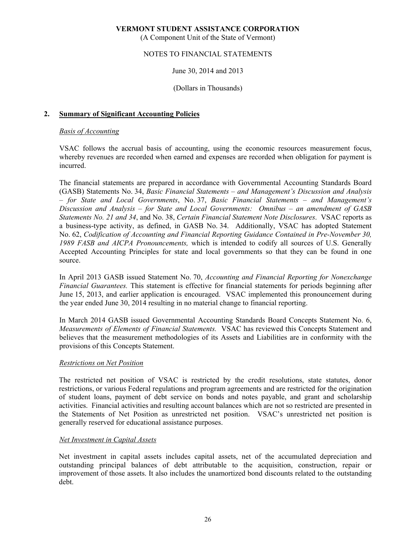(A Component Unit of the State of Vermont)

# NOTES TO FINANCIAL STATEMENTS

# June 30, 2014 and 2013

# (Dollars in Thousands)

# **2. Summary of Significant Accounting Policies**

# *Basis of Accounting*

 VSAC follows the accrual basis of accounting, using the economic resources measurement focus, whereby revenues are recorded when earned and expenses are recorded when obligation for payment is incurred.

 The financial statements are prepared in accordance with Governmental Accounting Standards Board (GASB) Statements No. 34, *Basic Financial Statements – and Management's Discussion and Analysis – for State and Local Governments*, No. 37, *Basic Financial Statements – and Management's Discussion and Analysis – for State and Local Governments: Omnibus – an amendment of GASB Statements No. 21 and 34*, and No. 38, *Certain Financial Statement Note Disclosures*. VSAC reports as a business-type activity, as defined, in GASB No. 34. Additionally, VSAC has adopted Statement No. 62, *Codification of Accounting and Financial Reporting Guidance Contained in Pre-November 30, 1989 FASB and AICPA Pronouncements,* which is intended to codify all sources of U.S. Generally Accepted Accounting Principles for state and local governments so that they can be found in one source.

 In April 2013 GASB issued Statement No. 70, *Accounting and Financial Reporting for Nonexchange Financial Guarantees.* This statement is effective for financial statements for periods beginning after June 15, 2013, and earlier application is encouraged. VSAC implemented this pronouncement during the year ended June 30, 2014 resulting in no material change to financial reporting.

 In March 2014 GASB issued Governmental Accounting Standards Board Concepts Statement No. 6, *Measurements of Elements of Financial Statements.* VSAC has reviewed this Concepts Statement and believes that the measurement methodologies of its Assets and Liabilities are in conformity with the provisions of this Concepts Statement.

# *Restrictions on Net Position*

 The restricted net position of VSAC is restricted by the credit resolutions, state statutes, donor restrictions, or various Federal regulations and program agreements and are restricted for the origination of student loans, payment of debt service on bonds and notes payable, and grant and scholarship activities. Financial activities and resulting account balances which are not so restricted are presented in the Statements of Net Position as unrestricted net position. VSAC's unrestricted net position is generally reserved for educational assistance purposes.

# *Net Investment in Capital Assets*

 Net investment in capital assets includes capital assets, net of the accumulated depreciation and outstanding principal balances of debt attributable to the acquisition, construction, repair or improvement of those assets. It also includes the unamortized bond discounts related to the outstanding debt.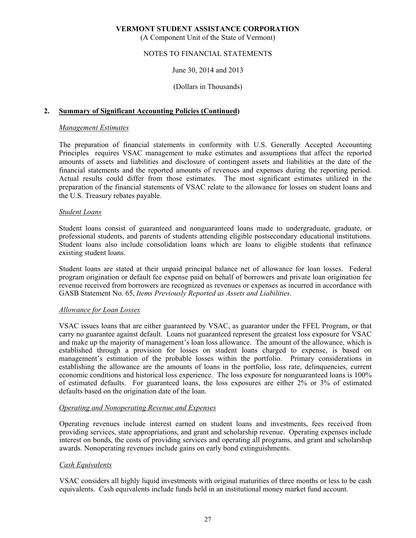(A Component Unit of the State of Vermont)

# NOTES TO FINANCIAL STATEMENTS

### June 30, 2014 and 2013

(Dollars in Thousands)

### **2. Summary of Significant Accounting Policies (Continued)**

#### *Management Estimates*

 The preparation of financial statements in conformity with U.S. Generally Accepted Accounting Principles requires VSAC management to make estimates and assumptions that affect the reported amounts of assets and liabilities and disclosure of contingent assets and liabilities at the date of the financial statements and the reported amounts of revenues and expenses during the reporting period. Actual results could differ from those estimates. The most significant estimates utilized in the preparation of the financial statements of VSAC relate to the allowance for losses on student loans and the U.S. Treasury rebates payable.

### *Student Loans*

 Student loans consist of guaranteed and nonguaranteed loans made to undergraduate, graduate, or professional students, and parents of students attending eligible postsecondary educational institutions. Student loans also include consolidation loans which are loans to eligible students that refinance existing student loans.

 Student loans are stated at their unpaid principal balance net of allowance for loan losses. Federal program origination or default fee expense paid on behalf of borrowers and private loan origination fee revenue received from borrowers are recognized as revenues or expenses as incurred in accordance with GASB Statement No. 65, *Items Previously Reported as Assets and Liabilities.*

#### *Allowance for Loan Losses*

 VSAC issues loans that are either guaranteed by VSAC, as guarantor under the FFEL Program, or that carry no guarantee against default. Loans not guaranteed represent the greatest loss exposure for VSAC and make up the majority of management's loan loss allowance. The amount of the allowance, which is established through a provision for losses on student loans charged to expense, is based on management's estimation of the probable losses within the portfolio. Primary considerations in establishing the allowance are the amounts of loans in the portfolio, loss rate, delinquencies, current economic conditions and historical loss experience. The loss exposure for nonguaranteed loans is 100% of estimated defaults. For guaranteed loans, the loss exposures are either 2% or 3% of estimated defaults based on the origination date of the loan.

#### *Operating and Nonoperating Revenue and Expenses*

 Operating revenues include interest earned on student loans and investments, fees received from providing services, state appropriations, and grant and scholarship revenue. Operating expenses include interest on bonds, the costs of providing services and operating all programs, and grant and scholarship awards. Nonoperating revenues include gains on early bond extinguishments.

# *Cash Equivalents*

 VSAC considers all highly liquid investments with original maturities of three months or less to be cash equivalents. Cash equivalents include funds held in an institutional money market fund account.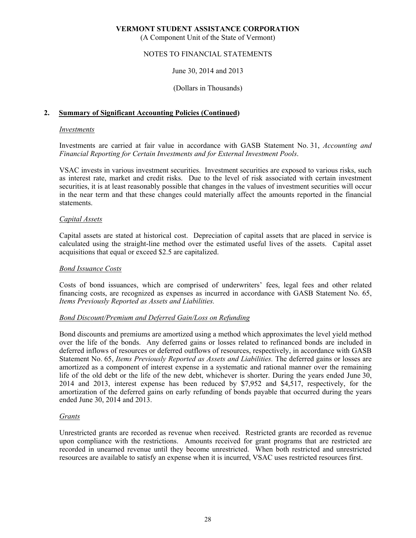(A Component Unit of the State of Vermont)

# NOTES TO FINANCIAL STATEMENTS

# June 30, 2014 and 2013

### (Dollars in Thousands)

### **2. Summary of Significant Accounting Policies (Continued)**

#### *Investments*

 Investments are carried at fair value in accordance with GASB Statement No. 31, *Accounting and Financial Reporting for Certain Investments and for External Investment Pools*.

 VSAC invests in various investment securities. Investment securities are exposed to various risks, such as interest rate, market and credit risks. Due to the level of risk associated with certain investment securities, it is at least reasonably possible that changes in the values of investment securities will occur in the near term and that these changes could materially affect the amounts reported in the financial statements.

#### *Capital Assets*

 Capital assets are stated at historical cost. Depreciation of capital assets that are placed in service is calculated using the straight-line method over the estimated useful lives of the assets. Capital asset acquisitions that equal or exceed \$2.5 are capitalized.

#### *Bond Issuance Costs*

 Costs of bond issuances, which are comprised of underwriters' fees, legal fees and other related financing costs, are recognized as expenses as incurred in accordance with GASB Statement No. 65, *Items Previously Reported as Assets and Liabilities.*

#### *Bond Discount/Premium and Deferred Gain/Loss on Refunding*

 Bond discounts and premiums are amortized using a method which approximates the level yield method over the life of the bonds. Any deferred gains or losses related to refinanced bonds are included in deferred inflows of resources or deferred outflows of resources, respectively, in accordance with GASB Statement No. 65, *Items Previously Reported as Assets and Liabilities.* The deferred gains or losses are amortized as a component of interest expense in a systematic and rational manner over the remaining life of the old debt or the life of the new debt, whichever is shorter. During the years ended June 30, 2014 and 2013, interest expense has been reduced by \$7,952 and \$4,517, respectively, for the amortization of the deferred gains on early refunding of bonds payable that occurred during the years ended June 30, 2014 and 2013.

#### *Grants*

 Unrestricted grants are recorded as revenue when received. Restricted grants are recorded as revenue upon compliance with the restrictions. Amounts received for grant programs that are restricted are recorded in unearned revenue until they become unrestricted. When both restricted and unrestricted resources are available to satisfy an expense when it is incurred, VSAC uses restricted resources first.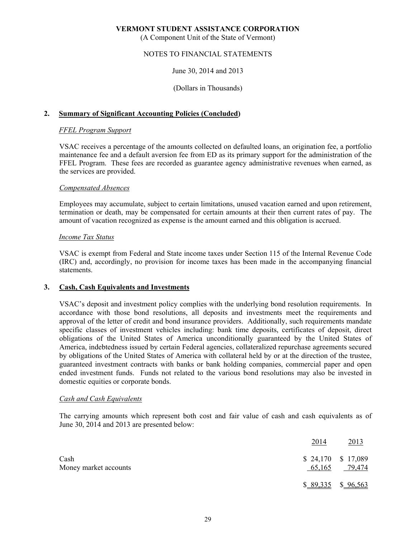(A Component Unit of the State of Vermont)

# NOTES TO FINANCIAL STATEMENTS

# June 30, 2014 and 2013

### (Dollars in Thousands)

# **2. Summary of Significant Accounting Policies (Concluded)**

#### *FFEL Program Support*

 VSAC receives a percentage of the amounts collected on defaulted loans, an origination fee, a portfolio maintenance fee and a default aversion fee from ED as its primary support for the administration of the FFEL Program. These fees are recorded as guarantee agency administrative revenues when earned, as the services are provided.

#### *Compensated Absences*

 Employees may accumulate, subject to certain limitations, unused vacation earned and upon retirement, termination or death, may be compensated for certain amounts at their then current rates of pay. The amount of vacation recognized as expense is the amount earned and this obligation is accrued.

### *Income Tax Status*

 VSAC is exempt from Federal and State income taxes under Section 115 of the Internal Revenue Code (IRC) and, accordingly, no provision for income taxes has been made in the accompanying financial statements.

#### **3. Cash, Cash Equivalents and Investments**

 VSAC's deposit and investment policy complies with the underlying bond resolution requirements. In accordance with those bond resolutions, all deposits and investments meet the requirements and approval of the letter of credit and bond insurance providers. Additionally, such requirements mandate specific classes of investment vehicles including: bank time deposits, certificates of deposit, direct obligations of the United States of America unconditionally guaranteed by the United States of America, indebtedness issued by certain Federal agencies, collateralized repurchase agreements secured by obligations of the United States of America with collateral held by or at the direction of the trustee, guaranteed investment contracts with banks or bank holding companies, commercial paper and open ended investment funds. Funds not related to the various bond resolutions may also be invested in domestic equities or corporate bonds.

#### *Cash and Cash Equivalents*

 The carrying amounts which represent both cost and fair value of cash and cash equivalents as of June 30, 2014 and 2013 are presented below:

|                               | 2014                          | 2013                |
|-------------------------------|-------------------------------|---------------------|
| Cash<br>Money market accounts | $$24,170$ $$17,089$<br>65,165 | 79,474              |
|                               |                               | $$89,335$ $$96,563$ |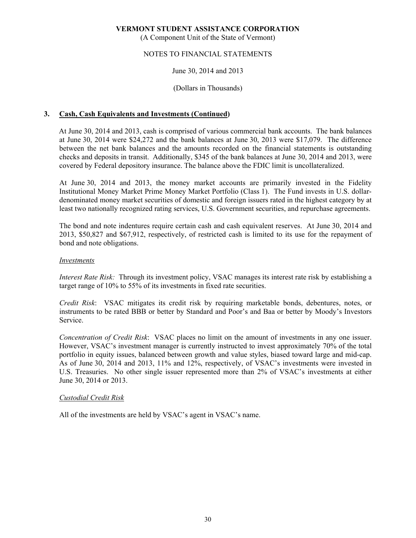(A Component Unit of the State of Vermont)

# NOTES TO FINANCIAL STATEMENTS

# June 30, 2014 and 2013

# (Dollars in Thousands)

# **3. Cash, Cash Equivalents and Investments (Continued)**

At June 30, 2014 and 2013, cash is comprised of various commercial bank accounts. The bank balances at June 30, 2014 were \$24,272 and the bank balances at June 30, 2013 were \$17,079. The difference between the net bank balances and the amounts recorded on the financial statements is outstanding checks and deposits in transit. Additionally, \$345 of the bank balances at June 30, 2014 and 2013, were covered by Federal depository insurance. The balance above the FDIC limit is uncollateralized.

 At June 30, 2014 and 2013, the money market accounts are primarily invested in the Fidelity Institutional Money Market Prime Money Market Portfolio (Class 1). The Fund invests in U.S. dollardenominated money market securities of domestic and foreign issuers rated in the highest category by at least two nationally recognized rating services, U.S. Government securities, and repurchase agreements.

The bond and note indentures require certain cash and cash equivalent reserves. At June 30, 2014 and 2013, \$50,827 and \$67,912, respectively, of restricted cash is limited to its use for the repayment of bond and note obligations.

#### *Investments*

*Interest Rate Risk:* Through its investment policy, VSAC manages its interest rate risk by establishing a target range of 10% to 55% of its investments in fixed rate securities.

*Credit Risk*: VSAC mitigates its credit risk by requiring marketable bonds, debentures, notes, or instruments to be rated BBB or better by Standard and Poor's and Baa or better by Moody's Investors Service.

*Concentration of Credit Risk*: VSAC places no limit on the amount of investments in any one issuer. However, VSAC's investment manager is currently instructed to invest approximately 70% of the total portfolio in equity issues, balanced between growth and value styles, biased toward large and mid-cap. As of June 30, 2014 and 2013, 11% and 12%, respectively, of VSAC's investments were invested in U.S. Treasuries. No other single issuer represented more than 2% of VSAC's investments at either June 30, 2014 or 2013.

#### *Custodial Credit Risk*

All of the investments are held by VSAC's agent in VSAC's name.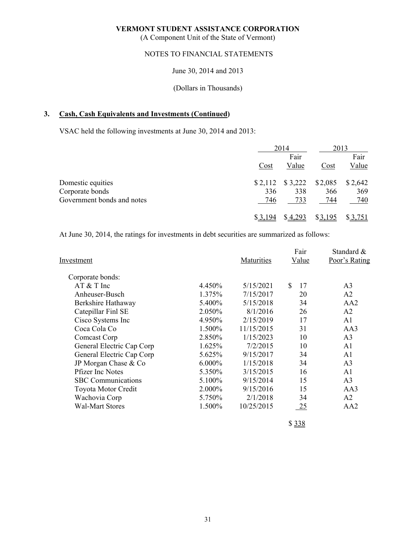(A Component Unit of the State of Vermont)

# NOTES TO FINANCIAL STATEMENTS

# June 30, 2014 and 2013

### (Dollars in Thousands)

# **3. Cash, Cash Equivalents and Investments (Continued)**

VSAC held the following investments at June 30, 2014 and 2013:

|                            |      | 2014              | 2013    |         |
|----------------------------|------|-------------------|---------|---------|
|                            |      | Fair              |         | Fair    |
|                            | Cost | Value             | Cost    | Value   |
| Domestic equities          |      | $$2,112$ $$3,222$ | \$2,085 | \$2,642 |
| Corporate bonds            | 336  | 338               | 366     | 369     |
| Government bonds and notes | 746  | 733               | 744     | 740     |
|                            |      | \$4.293           | \$3,195 | \$3,751 |

At June 30, 2014, the ratings for investments in debt securities are summarized as follows:

| Investment                |           | Maturities | Fair<br>Value | Standard &<br>Poor's Rating |
|---------------------------|-----------|------------|---------------|-----------------------------|
| Corporate bonds:          |           |            |               |                             |
| $AT & T$ Inc              | 4.450%    | 5/15/2021  | \$<br>17      | A3                          |
| Anheuser-Busch            | 1.375%    | 7/15/2017  | 20            | A2                          |
| Berkshire Hathaway        | 5.400\%   | 5/15/2018  | 34            | AA2                         |
| Catepillar Finl SE        | 2.050\%   | 8/1/2016   | 26            | A2                          |
| Cisco Systems Inc         | 4.950%    | 2/15/2019  | 17            | A <sub>1</sub>              |
| Coca Cola Co              | 1.500%    | 11/15/2015 | 31            | AA3                         |
| Comcast Corp              | 2.850\%   | 1/15/2023  | 10            | A <sub>3</sub>              |
| General Electric Cap Corp | 1.625%    | 7/2/2015   | 10            | A <sub>1</sub>              |
| General Electric Cap Corp | 5.625%    | 9/15/2017  | 34            | A <sub>1</sub>              |
| JP Morgan Chase & Co      | $6.000\%$ | 1/15/2018  | 34            | A <sub>3</sub>              |
| <b>Pfizer Inc Notes</b>   | 5.350%    | 3/15/2015  | 16            | A1                          |
| <b>SBC</b> Communications | 5.100%    | 9/15/2014  | 15            | A <sub>3</sub>              |
| Toyota Motor Credit       | 2.000%    | 9/15/2016  | 15            | AA3                         |
| Wachovia Corp             | 5.750%    | 2/1/2018   | 34            | A2                          |
| <b>Wal-Mart Stores</b>    | 1.500%    | 10/25/2015 | <u>25</u>     | AA2                         |
|                           |           |            |               |                             |

\$ 338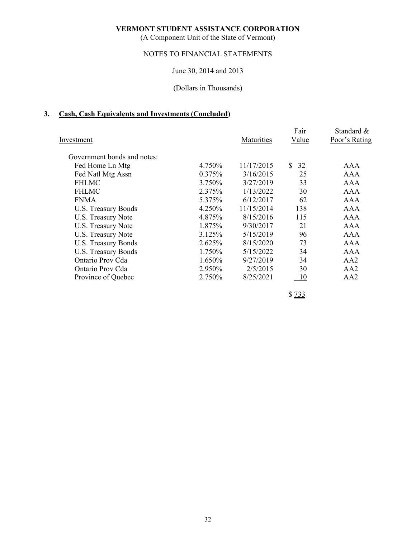(A Component Unit of the State of Vermont)

# NOTES TO FINANCIAL STATEMENTS

# June 30, 2014 and 2013

# (Dollars in Thousands)

# **3. Cash, Cash Equivalents and Investments (Concluded)**

| Investment                  |        | Maturities | Fair<br>Value | Standard &<br>Poor's Rating |
|-----------------------------|--------|------------|---------------|-----------------------------|
| Government bonds and notes: |        |            |               |                             |
| Fed Home Ln Mtg             | 4.750% | 11/17/2015 | S.<br>32      | AAA                         |
| Fed Natl Mtg Assn           | 0.375% | 3/16/2015  | 25            | <b>AAA</b>                  |
| <b>FHLMC</b>                | 3.750% | 3/27/2019  | 33            | <b>AAA</b>                  |
| <b>FHLMC</b>                | 2.375% | 1/13/2022  | 30            | <b>AAA</b>                  |
| <b>FNMA</b>                 | 5.375% | 6/12/2017  | 62            | <b>AAA</b>                  |
| U.S. Treasury Bonds         | 4.250% | 11/15/2014 | 138           | AAA                         |
| U.S. Treasury Note          | 4.875% | 8/15/2016  | 115           | <b>AAA</b>                  |
| U.S. Treasury Note          | 1.875% | 9/30/2017  | 21            | <b>AAA</b>                  |
| U.S. Treasury Note          | 3.125% | 5/15/2019  | 96            | <b>AAA</b>                  |
| U.S. Treasury Bonds         | 2.625% | 8/15/2020  | 73            | AAA                         |
| <b>U.S. Treasury Bonds</b>  | 1.750% | 5/15/2022  | 34            | <b>AAA</b>                  |
| Ontario Prov Cda            | 1.650% | 9/27/2019  | 34            | AA2                         |
| Ontario Prov Cda            | 2.950% | 2/5/2015   | 30            | AA2                         |
| Province of Quebec          | 2.750% | 8/25/2021  | 10            | AA2                         |
|                             |        |            |               |                             |

\$ 733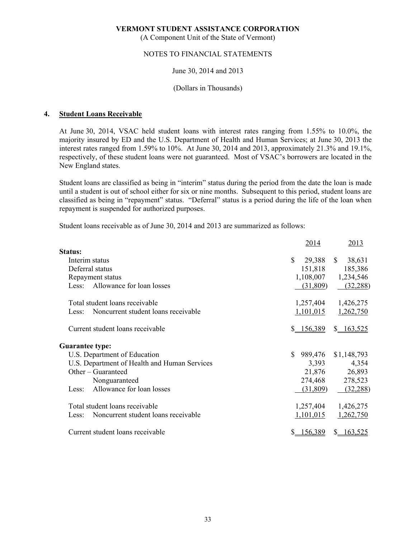(A Component Unit of the State of Vermont)

# NOTES TO FINANCIAL STATEMENTS

# June 30, 2014 and 2013

#### (Dollars in Thousands)

### **4. Student Loans Receivable**

 At June 30, 2014, VSAC held student loans with interest rates ranging from 1.55% to 10.0%, the majority insured by ED and the U.S. Department of Health and Human Services; at June 30, 2013 the interest rates ranged from 1.59% to 10%. At June 30, 2014 and 2013, approximately 21.3% and 19.1%, respectively, of these student loans were not guaranteed. Most of VSAC's borrowers are located in the New England states.

 Student loans are classified as being in "interim" status during the period from the date the loan is made until a student is out of school either for six or nine months. Subsequent to this period, student loans are classified as being in "repayment" status. "Deferral" status is a period during the life of the loan when repayment is suspended for authorized purposes.

Student loans receivable as of June 30, 2014 and 2013 are summarized as follows:

|                                              | 2014                     | 2013                   |
|----------------------------------------------|--------------------------|------------------------|
| Status:                                      |                          |                        |
| Interim status                               | <sup>\$</sup><br>29,388  | $\mathbb{S}$<br>38,631 |
| Deferral status                              | 151,818                  | 185,386                |
| Repayment status                             | 1,108,007                | 1,234,546              |
| Allowance for loan losses<br>Less:           | (31,809)                 | (32, 288)              |
| Total student loans receivable               | 1,257,404                | 1,426,275              |
| Noncurrent student loans receivable<br>Less: | 1,101,015                | 1,262,750              |
| Current student loans receivable             | \$ 156,389               | \$163,525              |
| <b>Guarantee type:</b>                       |                          |                        |
| U.S. Department of Education                 | 989,476<br><sup>\$</sup> | \$1,148,793            |
| U.S. Department of Health and Human Services | 3,393                    | 4,354                  |
| Other – Guaranteed                           | 21,876                   | 26,893                 |
| Nonguaranteed                                | 274,468                  | 278,523                |
| Allowance for loan losses<br>Less:           | (31,809)                 | (32, 288)              |
| Total student loans receivable               | 1,257,404                | 1,426,275              |
| Noncurrent student loans receivable<br>Less: | 1,101,015                | 1,262,750              |
| Current student loans receivable             | 156,389                  | 163,525<br>S.          |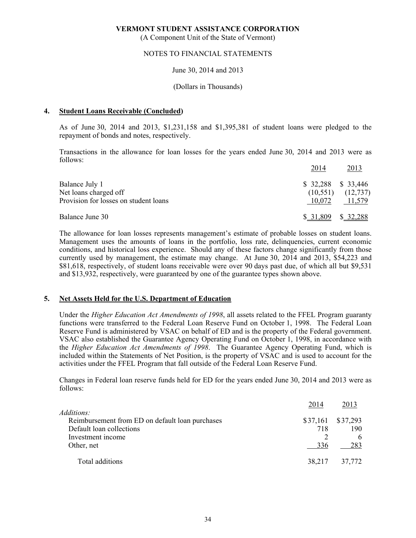(A Component Unit of the State of Vermont)

### NOTES TO FINANCIAL STATEMENTS

#### June 30, 2014 and 2013

#### (Dollars in Thousands)

# **4. Student Loans Receivable (Concluded)**

 As of June 30, 2014 and 2013, \$1,231,158 and \$1,395,381 of student loans were pledged to the repayment of bonds and notes, respectively.

 Transactions in the allowance for loan losses for the years ended June 30, 2014 and 2013 were as follows:

|                                       | 2014                | 2013      |
|---------------------------------------|---------------------|-----------|
| Balance July 1                        | $$32,288$ $$33,446$ |           |
| Net loans charged off                 | (10, 551)           | (12, 737) |
| Provision for losses on student loans | 10,072              | 11,579    |
| Balance June 30                       | \$ 31,809           | \$ 32,288 |

 The allowance for loan losses represents management's estimate of probable losses on student loans. Management uses the amounts of loans in the portfolio, loss rate, delinquencies, current economic conditions, and historical loss experience. Should any of these factors change significantly from those currently used by management, the estimate may change. At June 30, 2014 and 2013, \$54,223 and \$81,618, respectively, of student loans receivable were over 90 days past due, of which all but \$9,531 and \$13,932, respectively, were guaranteed by one of the guarantee types shown above.

### **5. Net Assets Held for the U.S. Department of Education**

 Under the *Higher Education Act Amendments of 1998*, all assets related to the FFEL Program guaranty functions were transferred to the Federal Loan Reserve Fund on October 1, 1998. The Federal Loan Reserve Fund is administered by VSAC on behalf of ED and is the property of the Federal government. VSAC also established the Guarantee Agency Operating Fund on October 1, 1998, in accordance with the *Higher Education Act Amendments of 1998*. The Guarantee Agency Operating Fund, which is included within the Statements of Net Position, is the property of VSAC and is used to account for the activities under the FFEL Program that fall outside of the Federal Loan Reserve Fund.

 Changes in Federal loan reserve funds held for ED for the years ended June 30, 2014 and 2013 were as follows:

|                                                                      | 2014   | 2013                |
|----------------------------------------------------------------------|--------|---------------------|
| <i>Additions:</i><br>Reimbursement from ED on default loan purchases |        | $$37,161$ $$37,293$ |
| Default loan collections                                             | 718    | 190                 |
| Investment income                                                    |        | 6                   |
| Other, net                                                           | 336    | 283                 |
| Total additions                                                      | 38,217 | 37,772              |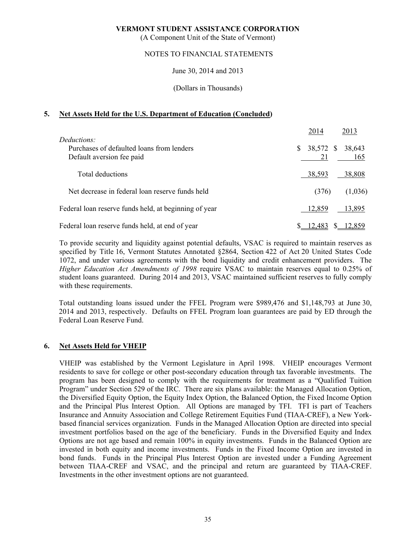(A Component Unit of the State of Vermont)

### NOTES TO FINANCIAL STATEMENTS

June 30, 2014 and 2013

(Dollars in Thousands)

# **5. Net Assets Held for the U.S. Department of Education (Concluded)**

|                                                                                       | 2014<br>2013                           |
|---------------------------------------------------------------------------------------|----------------------------------------|
| Deductions:<br>Purchases of defaulted loans from lenders<br>Default aversion fee paid | 38,572 \$<br>\$<br>38,643<br>21<br>165 |
| Total deductions                                                                      | 38,593<br>38,808                       |
| Net decrease in federal loan reserve funds held                                       | (376)<br>(1,036)                       |
| Federal loan reserve funds held, at beginning of year                                 | 12,859<br>13,895                       |
| Federal loan reserve funds held, at end of year                                       | 12.483                                 |

 To provide security and liquidity against potential defaults, VSAC is required to maintain reserves as specified by Title 16, Vermont Statutes Annotated §2864, Section 422 of Act 20 United States Code 1072, and under various agreements with the bond liquidity and credit enhancement providers. The *Higher Education Act Amendments of 1998* require VSAC to maintain reserves equal to 0.25% of student loans guaranteed. During 2014 and 2013, VSAC maintained sufficient reserves to fully comply with these requirements.

 Total outstanding loans issued under the FFEL Program were \$989,476 and \$1,148,793 at June 30, 2014 and 2013, respectively. Defaults on FFEL Program loan guarantees are paid by ED through the Federal Loan Reserve Fund.

# **6. Net Assets Held for VHEIP**

 VHEIP was established by the Vermont Legislature in April 1998. VHEIP encourages Vermont residents to save for college or other post-secondary education through tax favorable investments. The program has been designed to comply with the requirements for treatment as a "Qualified Tuition Program" under Section 529 of the IRC. There are six plans available: the Managed Allocation Option, the Diversified Equity Option, the Equity Index Option, the Balanced Option, the Fixed Income Option and the Principal Plus Interest Option. All Options are managed by TFI. TFI is part of Teachers Insurance and Annuity Association and College Retirement Equities Fund (TIAA-CREF), a New Yorkbased financial services organization. Funds in the Managed Allocation Option are directed into special investment portfolios based on the age of the beneficiary. Funds in the Diversified Equity and Index Options are not age based and remain 100% in equity investments. Funds in the Balanced Option are invested in both equity and income investments. Funds in the Fixed Income Option are invested in bond funds. Funds in the Principal Plus Interest Option are invested under a Funding Agreement between TIAA-CREF and VSAC, and the principal and return are guaranteed by TIAA-CREF. Investments in the other investment options are not guaranteed.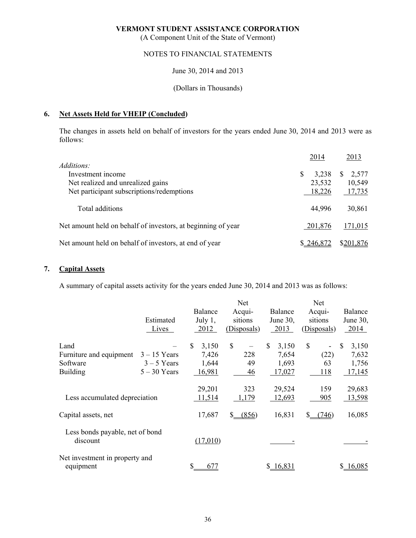(A Component Unit of the State of Vermont)

# NOTES TO FINANCIAL STATEMENTS

June 30, 2014 and 2013

### (Dollars in Thousands)

# **6. Net Assets Held for VHEIP (Concluded)**

 The changes in assets held on behalf of investors for the years ended June 30, 2014 and 2013 were as follows:

|                                                              | 2014      |     | 2013      |
|--------------------------------------------------------------|-----------|-----|-----------|
| Additions:                                                   |           |     |           |
| Investment income                                            | 3.238     | \$. | 2,577     |
| Net realized and unrealized gains                            | 23,532    |     | 10,549    |
| Net participant subscriptions/redemptions                    | 18,226    |     | 17,735    |
| Total additions                                              | 44,996    |     | 30,861    |
| Net amount held on behalf of investors, at beginning of year | 201,876   |     | 171,015   |
| Net amount held on behalf of investors, at end of year       | \$246,872 |     | \$201,876 |

# **7. Capital Assets**

A summary of capital assets activity for the years ended June 30, 2014 and 2013 was as follows:

|                                                                |                                                   |                                        | Net                              |                                         | Net                              |                                         |
|----------------------------------------------------------------|---------------------------------------------------|----------------------------------------|----------------------------------|-----------------------------------------|----------------------------------|-----------------------------------------|
|                                                                | Estimated<br>Lives                                | <b>Balance</b><br>July $1$ ,<br>2012   | Acqui-<br>sitions<br>(Disposals) | Balance<br>June 30,<br>2013             | Acqui-<br>sitions<br>(Disposals) | Balance<br>June 30,<br>$-2014$          |
| Land<br>Furniture and equipment<br>Software<br><b>Building</b> | $3 - 15$ Years<br>$3 - 5$ Years<br>$5 - 30$ Years | 3,150<br>S<br>7,426<br>1,644<br>16,981 | \$<br>228<br>49<br>46            | \$<br>3,150<br>7,654<br>1,693<br>17,027 | \$<br>(22)<br>63<br>118          | 3,150<br>\$<br>7,632<br>1,756<br>17,145 |
| Less accumulated depreciation                                  |                                                   | 29,201<br>11,514                       | 323<br>1,179                     | 29,524<br>12,693                        | 159<br>905                       | 29,683<br>13,598                        |
| Capital assets, net                                            |                                                   | 17,687                                 | (856)                            | 16,831                                  | (746)<br>S.                      | 16,085                                  |
| Less bonds payable, net of bond<br>discount                    |                                                   | (17,010)                               |                                  |                                         |                                  |                                         |
| Net investment in property and<br>equipment                    |                                                   | 677<br>\$                              |                                  | \$16,831                                |                                  | \$16,085                                |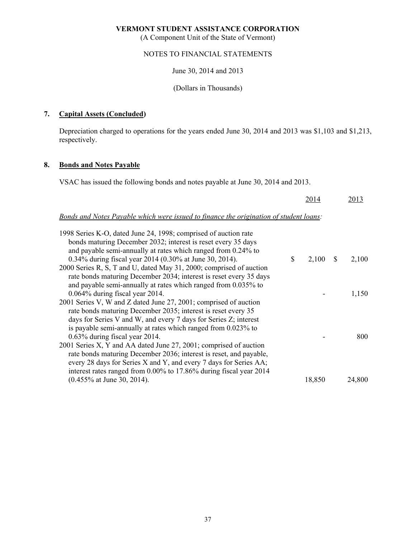(A Component Unit of the State of Vermont)

# NOTES TO FINANCIAL STATEMENTS

June 30, 2014 and 2013

(Dollars in Thousands)

# **7. Capital Assets (Concluded)**

 Depreciation charged to operations for the years ended June 30, 2014 and 2013 was \$1,103 and \$1,213, respectively.

# **8. Bonds and Notes Payable**

VSAC has issued the following bonds and notes payable at June 30, 2014 and 2013.

|                                                                                                                          |              | 2014   |    | 2013   |
|--------------------------------------------------------------------------------------------------------------------------|--------------|--------|----|--------|
| Bonds and Notes Payable which were issued to finance the origination of student loans:                                   |              |        |    |        |
| 1998 Series K-O, dated June 24, 1998; comprised of auction rate                                                          |              |        |    |        |
| bonds maturing December 2032; interest is reset every 35 days                                                            |              |        |    |        |
| and payable semi-annually at rates which ranged from 0.24% to<br>0.34% during fiscal year 2014 (0.30% at June 30, 2014). | $\mathbb{S}$ | 2,100  | -S | 2,100  |
| 2000 Series R, S, T and U, dated May 31, 2000; comprised of auction                                                      |              |        |    |        |
| rate bonds maturing December 2034; interest is reset every 35 days                                                       |              |        |    |        |
| and payable semi-annually at rates which ranged from 0.035% to                                                           |              |        |    |        |
| 0.064% during fiscal year 2014.                                                                                          |              |        |    | 1,150  |
| 2001 Series V, W and Z dated June 27, 2001; comprised of auction                                                         |              |        |    |        |
| rate bonds maturing December 2035; interest is reset every 35                                                            |              |        |    |        |
| days for Series V and W, and every 7 days for Series Z; interest                                                         |              |        |    |        |
| is payable semi-annually at rates which ranged from 0.023% to                                                            |              |        |    |        |
| $0.63\%$ during fiscal year 2014.                                                                                        |              |        |    | 800    |
| 2001 Series X, Y and AA dated June 27, 2001; comprised of auction                                                        |              |        |    |        |
| rate bonds maturing December 2036; interest is reset, and payable,                                                       |              |        |    |        |
| every 28 days for Series X and Y, and every 7 days for Series AA;                                                        |              |        |    |        |
| interest rates ranged from 0.00% to 17.86% during fiscal year 2014                                                       |              |        |    |        |
| $(0.455\%$ at June 30, 2014).                                                                                            |              | 18,850 |    | 24,800 |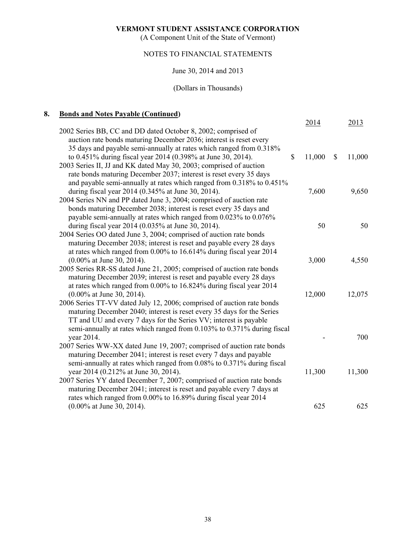(A Component Unit of the State of Vermont)

# NOTES TO FINANCIAL STATEMENTS

# June 30, 2014 and 2013

# (Dollars in Thousands)

# **8. Bonds and Notes Payable (Continued)**

|                                                                                                                                                                                                                                                                                                  |             | 2014   |              | 2013   |
|--------------------------------------------------------------------------------------------------------------------------------------------------------------------------------------------------------------------------------------------------------------------------------------------------|-------------|--------|--------------|--------|
| 2002 Series BB, CC and DD dated October 8, 2002; comprised of<br>auction rate bonds maturing December 2036; interest is reset every<br>35 days and payable semi-annually at rates which ranged from 0.318%                                                                                       |             |        |              |        |
| to 0.451% during fiscal year 2014 (0.398% at June 30, 2014).<br>2003 Series II, JJ and KK dated May 30, 2003; comprised of auction<br>rate bonds maturing December 2037; interest is reset every 35 days<br>and payable semi-annually at rates which ranged from 0.318% to 0.451%                | $\mathbf S$ | 11,000 | $\mathbb{S}$ | 11,000 |
| during fiscal year 2014 (0.345% at June 30, 2014).                                                                                                                                                                                                                                               |             | 7,600  |              | 9,650  |
| 2004 Series NN and PP dated June 3, 2004; comprised of auction rate<br>bonds maturing December 2038; interest is reset every 35 days and<br>payable semi-annually at rates which ranged from 0.023% to 0.076%                                                                                    |             |        |              |        |
| during fiscal year 2014 (0.035% at June 30, 2014).                                                                                                                                                                                                                                               |             | 50     |              | 50     |
| 2004 Series OO dated June 3, 2004; comprised of auction rate bonds<br>maturing December 2038; interest is reset and payable every 28 days<br>at rates which ranged from 0.00% to 16.614% during fiscal year 2014                                                                                 |             |        |              |        |
| $(0.00\%$ at June 30, 2014).                                                                                                                                                                                                                                                                     |             | 3,000  |              | 4,550  |
| 2005 Series RR-SS dated June 21, 2005; comprised of auction rate bonds<br>maturing December 2039; interest is reset and payable every 28 days<br>at rates which ranged from 0.00% to 16.824% during fiscal year 2014                                                                             |             |        |              |        |
| $(0.00\%$ at June 30, 2014).                                                                                                                                                                                                                                                                     |             | 12,000 |              | 12,075 |
| 2006 Series TT-VV dated July 12, 2006; comprised of auction rate bonds<br>maturing December 2040; interest is reset every 35 days for the Series<br>TT and UU and every 7 days for the Series VV; interest is payable<br>semi-annually at rates which ranged from 0.103% to 0.371% during fiscal |             |        |              |        |
| year 2014.                                                                                                                                                                                                                                                                                       |             |        |              | 700    |
| 2007 Series WW-XX dated June 19, 2007; comprised of auction rate bonds<br>maturing December 2041; interest is reset every 7 days and payable<br>semi-annually at rates which ranged from 0.08% to 0.371% during fiscal                                                                           |             |        |              |        |
| year 2014 (0.212% at June 30, 2014).                                                                                                                                                                                                                                                             |             | 11,300 |              | 11,300 |
| 2007 Series YY dated December 7, 2007; comprised of auction rate bonds<br>maturing December 2041; interest is reset and payable every 7 days at<br>rates which ranged from 0.00% to 16.89% during fiscal year 2014                                                                               |             |        |              |        |
| $(0.00\%$ at June 30, 2014).                                                                                                                                                                                                                                                                     |             | 625    |              | 625    |
|                                                                                                                                                                                                                                                                                                  |             |        |              |        |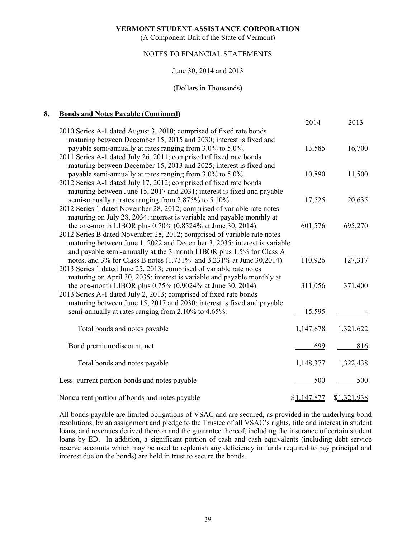(A Component Unit of the State of Vermont)

# NOTES TO FINANCIAL STATEMENTS

# June 30, 2014 and 2013

#### (Dollars in Thousands)

# **8. Bonds and Notes Payable (Continued)**

|                                                                                                                                                                                                                                                                                           | 2014        | 2013        |
|-------------------------------------------------------------------------------------------------------------------------------------------------------------------------------------------------------------------------------------------------------------------------------------------|-------------|-------------|
| 2010 Series A-1 dated August 3, 2010; comprised of fixed rate bonds<br>maturing between December 15, 2015 and 2030; interest is fixed and<br>payable semi-annually at rates ranging from 3.0% to 5.0%.                                                                                    | 13,585      | 16,700      |
| 2011 Series A-1 dated July 26, 2011; comprised of fixed rate bonds<br>maturing between December 15, 2013 and 2025; interest is fixed and<br>payable semi-annually at rates ranging from 3.0% to 5.0%.                                                                                     | 10,890      | 11,500      |
| 2012 Series A-1 dated July 17, 2012; comprised of fixed rate bonds<br>maturing between June 15, 2017 and 2031; interest is fixed and payable<br>semi-annually at rates ranging from 2.875% to 5.10%.                                                                                      | 17,525      | 20,635      |
| 2012 Series 1 dated November 28, 2012; comprised of variable rate notes<br>maturing on July 28, 2034; interest is variable and payable monthly at                                                                                                                                         |             |             |
| the one-month LIBOR plus 0.70% (0.8524% at June 30, 2014).<br>2012 Series B dated November 28, 2012; comprised of variable rate notes<br>maturing between June 1, 2022 and December 3, 2035; interest is variable<br>and payable semi-annually at the 3 month LIBOR plus 1.5% for Class A | 601,576     | 695,270     |
| notes, and 3% for Class B notes (1.731% and 3.231% at June 30,2014).<br>2013 Series 1 dated June 25, 2013; comprised of variable rate notes<br>maturing on April 30, 2035; interest is variable and payable monthly at                                                                    | 110,926     | 127,317     |
| the one-month LIBOR plus 0.75% (0.9024% at June 30, 2014).<br>2013 Series A-1 dated July 2, 2013; comprised of fixed rate bonds                                                                                                                                                           | 311,056     | 371,400     |
| maturing between June 15, 2017 and 2030; interest is fixed and payable<br>semi-annually at rates ranging from 2.10% to 4.65%.                                                                                                                                                             | 15,595      |             |
| Total bonds and notes payable                                                                                                                                                                                                                                                             | 1,147,678   | 1,321,622   |
| Bond premium/discount, net                                                                                                                                                                                                                                                                | 699         | 816         |
| Total bonds and notes payable                                                                                                                                                                                                                                                             | 1,148,377   | 1,322,438   |
| Less: current portion bonds and notes payable                                                                                                                                                                                                                                             | 500         | 500         |
| Noncurrent portion of bonds and notes payable                                                                                                                                                                                                                                             | \$1,147,877 | \$1,321,938 |

 All bonds payable are limited obligations of VSAC and are secured, as provided in the underlying bond resolutions, by an assignment and pledge to the Trustee of all VSAC's rights, title and interest in student loans, and revenues derived thereon and the guarantee thereof, including the insurance of certain student loans by ED. In addition, a significant portion of cash and cash equivalents (including debt service reserve accounts which may be used to replenish any deficiency in funds required to pay principal and interest due on the bonds) are held in trust to secure the bonds.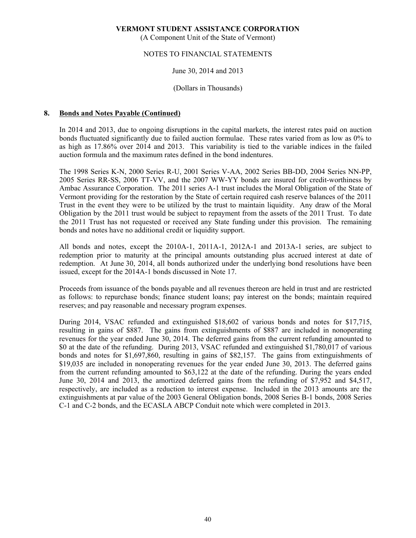(A Component Unit of the State of Vermont)

# NOTES TO FINANCIAL STATEMENTS

# June 30, 2014 and 2013

### (Dollars in Thousands)

### **8. Bonds and Notes Payable (Continued)**

 In 2014 and 2013, due to ongoing disruptions in the capital markets, the interest rates paid on auction bonds fluctuated significantly due to failed auction formulae. These rates varied from as low as 0% to as high as 17.86% over 2014 and 2013. This variability is tied to the variable indices in the failed auction formula and the maximum rates defined in the bond indentures.

The 1998 Series K-N, 2000 Series R-U, 2001 Series V-AA, 2002 Series BB-DD, 2004 Series NN-PP, 2005 Series RR-SS, 2006 TT-VV, and the 2007 WW-YY bonds are insured for credit-worthiness by Ambac Assurance Corporation. The 2011 series A-1 trust includes the Moral Obligation of the State of Vermont providing for the restoration by the State of certain required cash reserve balances of the 2011 Trust in the event they were to be utilized by the trust to maintain liquidity. Any draw of the Moral Obligation by the 2011 trust would be subject to repayment from the assets of the 2011 Trust. To date the 2011 Trust has not requested or received any State funding under this provision. The remaining bonds and notes have no additional credit or liquidity support.

 All bonds and notes, except the 2010A-1, 2011A-1, 2012A-1 and 2013A-1 series, are subject to redemption prior to maturity at the principal amounts outstanding plus accrued interest at date of redemption. At June 30, 2014, all bonds authorized under the underlying bond resolutions have been issued, except for the 2014A-1 bonds discussed in Note 17.

 Proceeds from issuance of the bonds payable and all revenues thereon are held in trust and are restricted as follows: to repurchase bonds; finance student loans; pay interest on the bonds; maintain required reserves; and pay reasonable and necessary program expenses.

During 2014, VSAC refunded and extinguished \$18,602 of various bonds and notes for \$17,715, resulting in gains of \$887. The gains from extinguishments of \$887 are included in nonoperating revenues for the year ended June 30, 2014. The deferred gains from the current refunding amounted to \$0 at the date of the refunding. During 2013, VSAC refunded and extinguished \$1,780,017 of various bonds and notes for \$1,697,860, resulting in gains of \$82,157. The gains from extinguishments of \$19,035 are included in nonoperating revenues for the year ended June 30, 2013. The deferred gains from the current refunding amounted to \$63,122 at the date of the refunding. During the years ended June 30, 2014 and 2013, the amortized deferred gains from the refunding of \$7,952 and \$4,517, respectively, are included as a reduction to interest expense. Included in the 2013 amounts are the extinguishments at par value of the 2003 General Obligation bonds, 2008 Series B-1 bonds, 2008 Series C-1 and C-2 bonds, and the ECASLA ABCP Conduit note which were completed in 2013.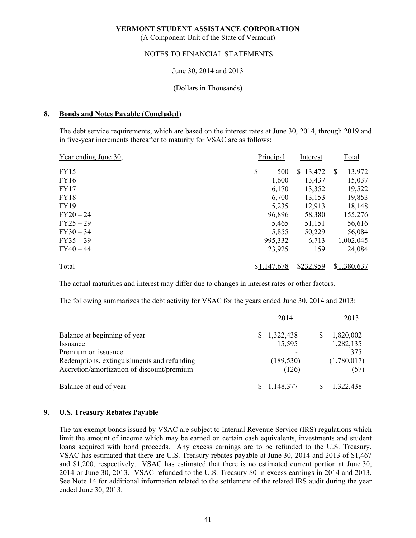(A Component Unit of the State of Vermont)

# NOTES TO FINANCIAL STATEMENTS

# June 30, 2014 and 2013

### (Dollars in Thousands)

### **8. Bonds and Notes Payable (Concluded)**

The debt service requirements, which are based on the interest rates at June 30, 2014, through 2019 and in five-year increments thereafter to maturity for VSAC are as follows:

| Year ending June 30, | Principal   | Interest  | Total        |
|----------------------|-------------|-----------|--------------|
| FY15                 | \$<br>500   | \$13,472  | 13,972<br>-S |
| <b>FY16</b>          | 1,600       | 13,437    | 15,037       |
| <b>FY17</b>          | 6,170       | 13,352    | 19,522       |
| <b>FY18</b>          | 6,700       | 13,153    | 19,853       |
| <b>FY19</b>          | 5,235       | 12,913    | 18,148       |
| $FY20-24$            | 96,896      | 58,380    | 155,276      |
| $FY25-29$            | 5,465       | 51,151    | 56,616       |
| $FY30 - 34$          | 5,855       | 50,229    | 56,084       |
| $FY35 - 39$          | 995,332     | 6,713     | 1,002,045    |
| $FY40 - 44$          | 23,925      | 159       | 24,084       |
| Total                | \$1,147,678 | \$232,959 | \$1,380,637  |

The actual maturities and interest may differ due to changes in interest rates or other factors.

The following summarizes the debt activity for VSAC for the years ended June 30, 2014 and 2013:

|                                            | 2014       | 2013        |
|--------------------------------------------|------------|-------------|
| Balance at beginning of year               | 1,322,438  | 1,820,002   |
| Issuance                                   | 15,595     | 1,282,135   |
| Premium on issuance                        |            | 375         |
| Redemptions, extinguishments and refunding | (189, 530) | (1,780,017) |
| Accretion/amortization of discount/premium | (126)      |             |
| Balance at end of year                     |            |             |

# **9. U.S. Treasury Rebates Payable**

 The tax exempt bonds issued by VSAC are subject to Internal Revenue Service (IRS) regulations which limit the amount of income which may be earned on certain cash equivalents, investments and student loans acquired with bond proceeds. Any excess earnings are to be refunded to the U.S. Treasury. VSAC has estimated that there are U.S. Treasury rebates payable at June 30, 2014 and 2013 of \$1,467 and \$1,200, respectively. VSAC has estimated that there is no estimated current portion at June 30, 2014 or June 30, 2013. VSAC refunded to the U.S. Treasury \$0 in excess earnings in 2014 and 2013. See Note 14 for additional information related to the settlement of the related IRS audit during the year ended June 30, 2013.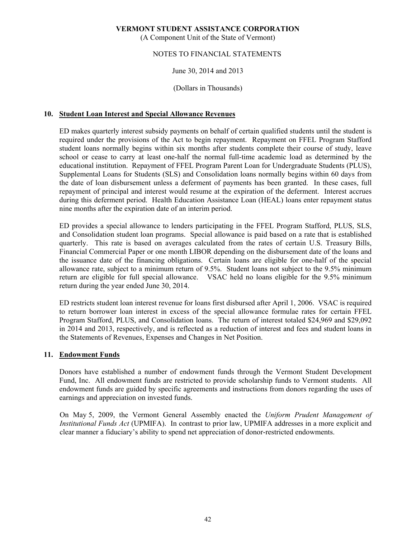(A Component Unit of the State of Vermont)

# NOTES TO FINANCIAL STATEMENTS

# June 30, 2014 and 2013

# (Dollars in Thousands)

# **10. Student Loan Interest and Special Allowance Revenues**

 ED makes quarterly interest subsidy payments on behalf of certain qualified students until the student is required under the provisions of the Act to begin repayment. Repayment on FFEL Program Stafford student loans normally begins within six months after students complete their course of study, leave school or cease to carry at least one-half the normal full-time academic load as determined by the educational institution. Repayment of FFEL Program Parent Loan for Undergraduate Students (PLUS), Supplemental Loans for Students (SLS) and Consolidation loans normally begins within 60 days from the date of loan disbursement unless a deferment of payments has been granted. In these cases, full repayment of principal and interest would resume at the expiration of the deferment. Interest accrues during this deferment period. Health Education Assistance Loan (HEAL) loans enter repayment status nine months after the expiration date of an interim period.

 ED provides a special allowance to lenders participating in the FFEL Program Stafford, PLUS, SLS, and Consolidation student loan programs. Special allowance is paid based on a rate that is established quarterly. This rate is based on averages calculated from the rates of certain U.S. Treasury Bills, Financial Commercial Paper or one month LIBOR depending on the disbursement date of the loans and the issuance date of the financing obligations. Certain loans are eligible for one-half of the special allowance rate, subject to a minimum return of 9.5%. Student loans not subject to the 9.5% minimum return are eligible for full special allowance. VSAC held no loans eligible for the 9.5% minimum return during the year ended June 30, 2014.

 ED restricts student loan interest revenue for loans first disbursed after April 1, 2006. VSAC is required to return borrower loan interest in excess of the special allowance formulae rates for certain FFEL Program Stafford, PLUS, and Consolidation loans. The return of interest totaled \$24,969 and \$29,092 in 2014 and 2013, respectively, and is reflected as a reduction of interest and fees and student loans in the Statements of Revenues, Expenses and Changes in Net Position.

### **11. Endowment Funds**

 Donors have established a number of endowment funds through the Vermont Student Development Fund, Inc. All endowment funds are restricted to provide scholarship funds to Vermont students. All endowment funds are guided by specific agreements and instructions from donors regarding the uses of earnings and appreciation on invested funds.

 On May 5, 2009, the Vermont General Assembly enacted the *Uniform Prudent Management of Institutional Funds Act* (UPMIFA). In contrast to prior law, UPMIFA addresses in a more explicit and clear manner a fiduciary's ability to spend net appreciation of donor-restricted endowments.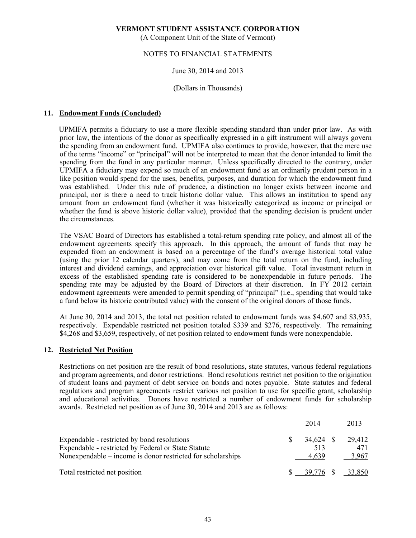(A Component Unit of the State of Vermont)

# NOTES TO FINANCIAL STATEMENTS

# June 30, 2014 and 2013

### (Dollars in Thousands)

# **11. Endowment Funds (Concluded)**

UPMIFA permits a fiduciary to use a more flexible spending standard than under prior law. As with prior law, the intentions of the donor as specifically expressed in a gift instrument will always govern the spending from an endowment fund. UPMIFA also continues to provide, however, that the mere use of the terms "income" or "principal" will not be interpreted to mean that the donor intended to limit the spending from the fund in any particular manner. Unless specifically directed to the contrary, under UPMIFA a fiduciary may expend so much of an endowment fund as an ordinarily prudent person in a like position would spend for the uses, benefits, purposes, and duration for which the endowment fund was established. Under this rule of prudence, a distinction no longer exists between income and principal, nor is there a need to track historic dollar value. This allows an institution to spend any amount from an endowment fund (whether it was historically categorized as income or principal or whether the fund is above historic dollar value), provided that the spending decision is prudent under the circumstances.

 The VSAC Board of Directors has established a total-return spending rate policy, and almost all of the endowment agreements specify this approach. In this approach, the amount of funds that may be expended from an endowment is based on a percentage of the fund's average historical total value (using the prior 12 calendar quarters), and may come from the total return on the fund, including interest and dividend earnings, and appreciation over historical gift value. Total investment return in excess of the established spending rate is considered to be nonexpendable in future periods. The spending rate may be adjusted by the Board of Directors at their discretion. In FY 2012 certain endowment agreements were amended to permit spending of "principal" (i.e., spending that would take a fund below its historic contributed value) with the consent of the original donors of those funds.

 At June 30, 2014 and 2013, the total net position related to endowment funds was \$4,607 and \$3,935, respectively. Expendable restricted net position totaled \$339 and \$276, respectively. The remaining \$4,268 and \$3,659, respectively, of net position related to endowment funds were nonexpendable.

#### **12. Restricted Net Position**

 Restrictions on net position are the result of bond resolutions, state statutes, various federal regulations and program agreements, and donor restrictions. Bond resolutions restrict net position to the origination of student loans and payment of debt service on bonds and notes payable. State statutes and federal regulations and program agreements restrict various net position to use for specific grant, scholarship and educational activities. Donors have restricted a number of endowment funds for scholarship awards. Restricted net position as of June 30, 2014 and 2013 are as follows:

|                                                                                                                                                                   | 2014                      | 2013                   |
|-------------------------------------------------------------------------------------------------------------------------------------------------------------------|---------------------------|------------------------|
| Expendable - restricted by bond resolutions<br>Expendable - restricted by Federal or State Statute<br>Nonexpendable – income is donor restricted for scholarships | 34,624 \$<br>513<br>4.639 | 29,412<br>471<br>3,967 |
| Total restricted net position                                                                                                                                     | 39.776                    | 33.850                 |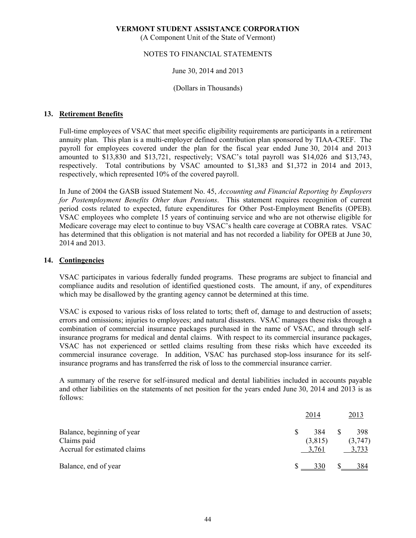(A Component Unit of the State of Vermont)

# NOTES TO FINANCIAL STATEMENTS

# June 30, 2014 and 2013

### (Dollars in Thousands)

# **13. Retirement Benefits**

 Full-time employees of VSAC that meet specific eligibility requirements are participants in a retirement annuity plan. This plan is a multi-employer defined contribution plan sponsored by TIAA-CREF. The payroll for employees covered under the plan for the fiscal year ended June 30, 2014 and 2013 amounted to \$13,830 and \$13,721, respectively; VSAC's total payroll was \$14,026 and \$13,743, respectively. Total contributions by VSAC amounted to \$1,383 and \$1,372 in 2014 and 2013, respectively, which represented 10% of the covered payroll.

 In June of 2004 the GASB issued Statement No. 45, *Accounting and Financial Reporting by Employers for Postemployment Benefits Other than Pensions*. This statement requires recognition of current period costs related to expected, future expenditures for Other Post-Employment Benefits (OPEB). VSAC employees who complete 15 years of continuing service and who are not otherwise eligible for Medicare coverage may elect to continue to buy VSAC's health care coverage at COBRA rates. VSAC has determined that this obligation is not material and has not recorded a liability for OPEB at June 30, 2014 and 2013.

### **14. Contingencies**

 VSAC participates in various federally funded programs. These programs are subject to financial and compliance audits and resolution of identified questioned costs. The amount, if any, of expenditures which may be disallowed by the granting agency cannot be determined at this time.

 VSAC is exposed to various risks of loss related to torts; theft of, damage to and destruction of assets; errors and omissions; injuries to employees; and natural disasters. VSAC manages these risks through a combination of commercial insurance packages purchased in the name of VSAC, and through selfinsurance programs for medical and dental claims. With respect to its commercial insurance packages, VSAC has not experienced or settled claims resulting from these risks which have exceeded its commercial insurance coverage. In addition, VSAC has purchased stop-loss insurance for its selfinsurance programs and has transferred the risk of loss to the commercial insurance carrier.

 A summary of the reserve for self-insured medical and dental liabilities included in accounts payable and other liabilities on the statements of net position for the years ended June 30, 2014 and 2013 is as follows:

|                                             | 2014             | 2013             |
|---------------------------------------------|------------------|------------------|
| Balance, beginning of year                  | 384              | 398              |
| Claims paid<br>Accrual for estimated claims | (3,815)<br>3,761 | (3,747)<br>3.733 |
|                                             |                  |                  |
| Balance, end of year                        | 330              | 384              |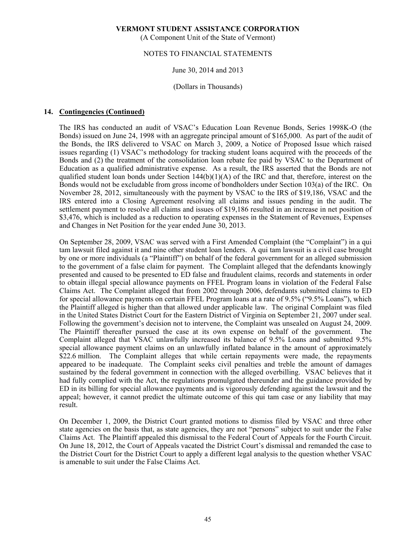(A Component Unit of the State of Vermont)

### NOTES TO FINANCIAL STATEMENTS

#### June 30, 2014 and 2013

(Dollars in Thousands)

### **14. Contingencies (Continued)**

The IRS has conducted an audit of VSAC's Education Loan Revenue Bonds, Series 1998K-O (the Bonds) issued on June 24, 1998 with an aggregate principal amount of \$165,000. As part of the audit of the Bonds, the IRS delivered to VSAC on March 3, 2009, a Notice of Proposed Issue which raised issues regarding (1) VSAC's methodology for tracking student loans acquired with the proceeds of the Bonds and (2) the treatment of the consolidation loan rebate fee paid by VSAC to the Department of Education as a qualified administrative expense. As a result, the IRS asserted that the Bonds are not qualified student loan bonds under Section  $144(b)(1)(A)$  of the IRC and that, therefore, interest on the Bonds would not be excludable from gross income of bondholders under Section 103(a) of the IRC. On November 28, 2012, simultaneously with the payment by VSAC to the IRS of \$19,186, VSAC and the IRS entered into a Closing Agreement resolving all claims and issues pending in the audit. The settlement payment to resolve all claims and issues of \$19,186 resulted in an increase in net position of \$3,476, which is included as a reduction to operating expenses in the Statement of Revenues, Expenses and Changes in Net Position for the year ended June 30, 2013.

 On September 28, 2009, VSAC was served with a First Amended Complaint (the "Complaint") in a qui tam lawsuit filed against it and nine other student loan lenders. A qui tam lawsuit is a civil case brought by one or more individuals (a "Plaintiff") on behalf of the federal government for an alleged submission to the government of a false claim for payment. The Complaint alleged that the defendants knowingly presented and caused to be presented to ED false and fraudulent claims, records and statements in order to obtain illegal special allowance payments on FFEL Program loans in violation of the Federal False Claims Act. The Complaint alleged that from 2002 through 2006, defendants submitted claims to ED for special allowance payments on certain FFEL Program loans at a rate of 9.5% ("9.5% Loans"), which the Plaintiff alleged is higher than that allowed under applicable law. The original Complaint was filed in the United States District Court for the Eastern District of Virginia on September 21, 2007 under seal. Following the government's decision not to intervene, the Complaint was unsealed on August 24, 2009. The Plaintiff thereafter pursued the case at its own expense on behalf of the government. The Complaint alleged that VSAC unlawfully increased its balance of 9.5% Loans and submitted 9.5% special allowance payment claims on an unlawfully inflated balance in the amount of approximately \$22.6 million. The Complaint alleges that while certain repayments were made, the repayments appeared to be inadequate. The Complaint seeks civil penalties and treble the amount of damages sustained by the federal government in connection with the alleged overbilling. VSAC believes that it had fully complied with the Act, the regulations promulgated thereunder and the guidance provided by ED in its billing for special allowance payments and is vigorously defending against the lawsuit and the appeal; however, it cannot predict the ultimate outcome of this qui tam case or any liability that may result.

 On December 1, 2009, the District Court granted motions to dismiss filed by VSAC and three other state agencies on the basis that, as state agencies, they are not "persons" subject to suit under the False Claims Act. The Plaintiff appealed this dismissal to the Federal Court of Appeals for the Fourth Circuit. On June 18, 2012, the Court of Appeals vacated the District Court's dismissal and remanded the case to the District Court for the District Court to apply a different legal analysis to the question whether VSAC is amenable to suit under the False Claims Act.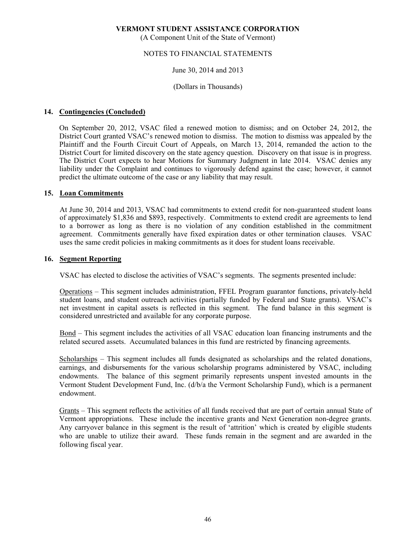(A Component Unit of the State of Vermont)

# NOTES TO FINANCIAL STATEMENTS

### June 30, 2014 and 2013

# (Dollars in Thousands)

# **14. Contingencies (Concluded)**

On September 20, 2012, VSAC filed a renewed motion to dismiss; and on October 24, 2012, the District Court granted VSAC's renewed motion to dismiss. The motion to dismiss was appealed by the Plaintiff and the Fourth Circuit Court of Appeals, on March 13, 2014, remanded the action to the District Court for limited discovery on the state agency question. Discovery on that issue is in progress. The District Court expects to hear Motions for Summary Judgment in late 2014. VSAC denies any liability under the Complaint and continues to vigorously defend against the case; however, it cannot predict the ultimate outcome of the case or any liability that may result.

#### **15. Loan Commitments**

 At June 30, 2014 and 2013, VSAC had commitments to extend credit for non-guaranteed student loans of approximately \$1,836 and \$893, respectively. Commitments to extend credit are agreements to lend to a borrower as long as there is no violation of any condition established in the commitment agreement. Commitments generally have fixed expiration dates or other termination clauses. VSAC uses the same credit policies in making commitments as it does for student loans receivable.

### **16. Segment Reporting**

VSAC has elected to disclose the activities of VSAC's segments. The segments presented include:

 Operations – This segment includes administration, FFEL Program guarantor functions, privately-held student loans, and student outreach activities (partially funded by Federal and State grants). VSAC's net investment in capital assets is reflected in this segment. The fund balance in this segment is considered unrestricted and available for any corporate purpose.

 Bond – This segment includes the activities of all VSAC education loan financing instruments and the related secured assets. Accumulated balances in this fund are restricted by financing agreements.

 Scholarships – This segment includes all funds designated as scholarships and the related donations, earnings, and disbursements for the various scholarship programs administered by VSAC, including endowments. The balance of this segment primarily represents unspent invested amounts in the Vermont Student Development Fund, Inc. (d/b/a the Vermont Scholarship Fund), which is a permanent endowment.

Grants – This segment reflects the activities of all funds received that are part of certain annual State of Vermont appropriations. These include the incentive grants and Next Generation non-degree grants. Any carryover balance in this segment is the result of 'attrition' which is created by eligible students who are unable to utilize their award. These funds remain in the segment and are awarded in the following fiscal year.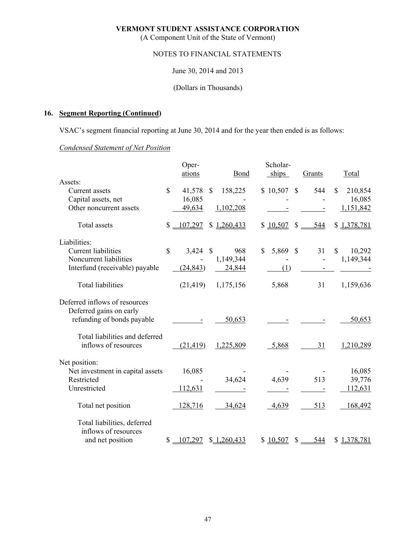(A Component Unit of the State of Vermont)

# NOTES TO FINANCIAL STATEMENTS

June 30, 2014 and 2013

(Dollars in Thousands)

# **16. Segment Reporting (Continued)**

VSAC's segment financial reporting at June 30, 2014 and for the year then ended is as follows:

# *Condensed Statement of Net Position*

|                                  |               | Oper-      |               |             | Scholar-    |              |                          |                        |
|----------------------------------|---------------|------------|---------------|-------------|-------------|--------------|--------------------------|------------------------|
| Assets:                          |               | ations     |               | Bond        | ships       |              | Grants                   | Total                  |
| Current assets                   | \$            | 41,578     | $\mathcal{S}$ | 158,225     | \$10,507    | $\mathbb{S}$ | 544                      | 210,854<br>$\mathbf S$ |
| Capital assets, net              |               | 16,085     |               |             |             |              |                          | 16,085                 |
| Other noncurrent assets          |               | 49,634     |               | 1,102,208   |             |              |                          | 1,151,842              |
| Total assets                     | \$            | $-107,297$ |               | \$1,260,433 | \$10,507    | $\mathbf S$  | 544                      | \$1,378,781            |
| Liabilities:                     |               |            |               |             |             |              |                          |                        |
| <b>Current liabilities</b>       | $\mathsf{\$}$ | 3,424      | $\mathcal{S}$ | 968         | 5,869<br>\$ | <sup>S</sup> | 31                       | \$<br>10,292           |
| Noncurrent liabilities           |               |            |               | 1,149,344   |             |              | $\overline{\phantom{a}}$ | 1,149,344              |
| Interfund (receivable) payable   |               | (24, 843)  |               | 24,844      | (1)         |              |                          |                        |
| <b>Total liabilities</b>         |               | (21, 419)  |               | 1,175,156   | 5,868       |              | 31                       | 1,159,636              |
| Deferred inflows of resources    |               |            |               |             |             |              |                          |                        |
| Deferred gains on early          |               |            |               |             |             |              |                          |                        |
| refunding of bonds payable       |               |            |               | 50,653      |             |              |                          | 50,653                 |
| Total liabilities and deferred   |               |            |               |             |             |              |                          |                        |
| inflows of resources             |               | (21, 419)  |               | 1,225,809   | 5,868       |              | 31                       | 1,210,289              |
| Net position:                    |               |            |               |             |             |              |                          |                        |
| Net investment in capital assets |               | 16,085     |               |             |             |              |                          | 16,085                 |
| Restricted                       |               |            |               | 34,624      | 4,639       |              | 513                      | 39,776                 |
| Unrestricted                     |               | 112,631    |               |             |             |              |                          | 112,631                |
| Total net position               |               | 128,716    |               | 34,624      | 4,639       |              | 513                      | 168,492                |
| Total liabilities, deferred      |               |            |               |             |             |              |                          |                        |
| inflows of resources             |               |            |               |             |             |              |                          |                        |
| and net position                 | \$            | 107,297    |               | \$1,260,433 | \$10,507    | $\mathbb{S}$ | 544                      | \$1,378,781            |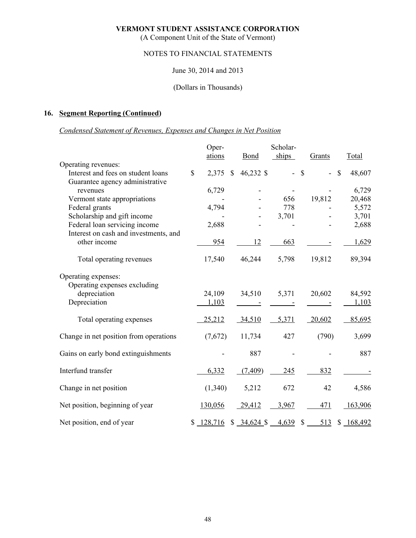(A Component Unit of the State of Vermont)

# NOTES TO FINANCIAL STATEMENTS

# June 30, 2014 and 2013

# (Dollars in Thousands)

# **16. Segment Reporting (Continued)**

# *Condensed Statement of Revenues, Expenses and Changes in Net Position*

|                                        |              | Oper-     |              |                                                                    | Scholar-   |               |        |              |
|----------------------------------------|--------------|-----------|--------------|--------------------------------------------------------------------|------------|---------------|--------|--------------|
|                                        |              | ations    |              | <b>Bond</b>                                                        | ships      |               | Grants | Total        |
| Operating revenues:                    |              |           |              |                                                                    |            |               |        |              |
| Interest and fees on student loans     | $\mathbb{S}$ | 2,375     | $\mathbb{S}$ | 46,232 \$                                                          | $\omega$ . | $\mathcal{S}$ |        | \$<br>48,607 |
| Guarantee agency administrative        |              |           |              |                                                                    |            |               |        |              |
| revenues                               |              | 6,729     |              |                                                                    |            |               |        | 6,729        |
| Vermont state appropriations           |              |           |              |                                                                    | 656        |               | 19,812 | 20,468       |
| Federal grants                         |              | 4,794     |              |                                                                    | 778        |               |        | 5,572        |
| Scholarship and gift income            |              |           |              |                                                                    | 3,701      |               |        | 3,701        |
| Federal loan servicing income          |              | 2,688     |              |                                                                    |            |               |        | 2,688        |
| Interest on cash and investments, and  |              |           |              |                                                                    |            |               |        |              |
| other income                           |              | 954       |              | 12                                                                 | 663        |               |        | 1,629        |
| Total operating revenues               |              | 17,540    |              | 46,244                                                             | 5,798      |               | 19,812 | 89,394       |
| Operating expenses:                    |              |           |              |                                                                    |            |               |        |              |
| Operating expenses excluding           |              |           |              |                                                                    |            |               |        |              |
| depreciation                           |              | 24,109    |              | 34,510                                                             | 5,371      |               | 20,602 | 84,592       |
| Depreciation                           |              | 1,103     |              |                                                                    |            |               |        | 1,103        |
| Total operating expenses               |              | 25,212    |              | 34,510                                                             | 5,371      |               | 20,602 | 85,695       |
| Change in net position from operations |              | (7,672)   |              | 11,734                                                             | 427        |               | (790)  | 3,699        |
| Gains on early bond extinguishments    |              |           |              | 887                                                                |            |               |        | 887          |
| Interfund transfer                     |              | 6,332     |              | (7, 409)                                                           | 245        |               | 832    |              |
| Change in net position                 |              | (1,340)   |              | 5,212                                                              | 672        |               | 42     | 4,586        |
| Net position, beginning of year        |              | 130,056   |              | 29,412                                                             | 3,967      |               | 471    | 163,906      |
| Net position, end of year              |              | \$128,716 |              | $$ \underline{34,624} \$ $\underline{4,639} \$ $$ \underline{513}$ |            |               |        | \$168,492    |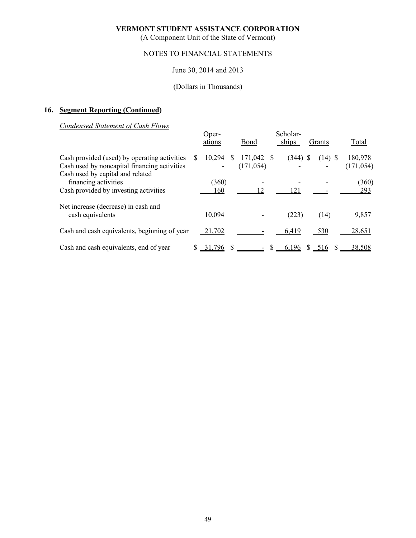(A Component Unit of the State of Vermont)

# NOTES TO FINANCIAL STATEMENTS

### June 30, 2014 and 2013

# (Dollars in Thousands)

# **16. Segment Reporting (Continued)**

*Condensed Statement of Cash Flows* 

|                                                                                                                                  |   | Oper-<br>ations |    | Bond                     | Scholar-<br>ships | Grants      | Total                 |
|----------------------------------------------------------------------------------------------------------------------------------|---|-----------------|----|--------------------------|-------------------|-------------|-----------------------|
| Cash provided (used) by operating activities<br>Cash used by noncapital financing activities<br>Cash used by capital and related | S | 10,294          | S. | 171,042 \$<br>(171, 054) | $(344)$ \$        | $(14)$ \$   | 180,978<br>(171, 054) |
| financing activities<br>Cash provided by investing activities                                                                    |   | (360)<br>160    |    | 12                       | 121               |             | (360)<br>293          |
| Net increase (decrease) in cash and<br>cash equivalents                                                                          |   | 10,094          |    |                          | (223)             | (14)        | 9,857                 |
| Cash and cash equivalents, beginning of year                                                                                     |   | 21,702          |    |                          | 6,419             | 530         | 28,651                |
| Cash and cash equivalents, end of year                                                                                           |   | 31,796          |    |                          | 6,196             | \$516<br>-S | 38,508                |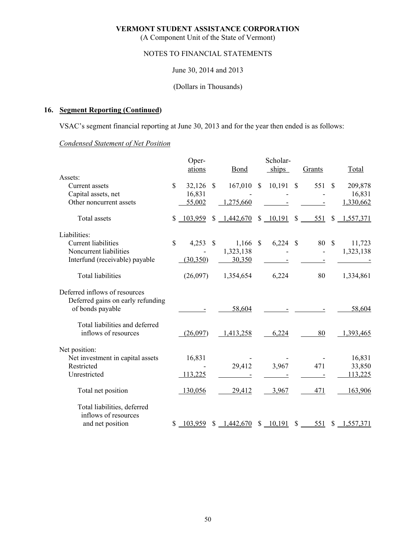(A Component Unit of the State of Vermont)

# NOTES TO FINANCIAL STATEMENTS

June 30, 2014 and 2013

(Dollars in Thousands)

# **16. Segment Reporting (Continued)**

VSAC's segment financial reporting at June 30, 2013 and for the year then ended is as follows:

# *Condensed Statement of Net Position*

|                                   |                    | Oper-      |              |                |              | Scholar-      |               |        |              |             |
|-----------------------------------|--------------------|------------|--------------|----------------|--------------|---------------|---------------|--------|--------------|-------------|
| Assets:                           |                    | ations     |              | Bond           |              | ships         |               | Grants |              | Total       |
| Current assets                    | $\mathbf{\hat{S}}$ | 32,126     | $\mathbb{S}$ | 167,010        | $\mathbb{S}$ | 10,191        | $\mathcal{S}$ | 551 \$ |              | 209,878     |
| Capital assets, net               |                    | 16,831     |              |                |              |               |               |        |              | 16,831      |
| Other noncurrent assets           |                    | 55,002     |              | 1,275,660      |              |               |               |        |              | 1,330,662   |
| Total assets                      | $\mathbb{S}$       | $-103,959$ | \$           | 1,442,670      |              | \$10,191      | $\mathbb{S}$  | 551    |              | \$1,557,371 |
| Liabilities:                      |                    |            |              |                |              |               |               |        |              |             |
| <b>Current liabilities</b>        | $\mathbf{\hat{S}}$ | 4,253      | -S           | $1,166$ \$     |              | 6,224         | -S            | 80     | $\mathbb{S}$ | 11,723      |
| Noncurrent liabilities            |                    |            |              | 1,323,138      |              |               |               |        |              | 1,323,138   |
| Interfund (receivable) payable    |                    | (30, 350)  |              | 30,350         |              |               |               |        |              |             |
| <b>Total liabilities</b>          |                    | (26,097)   |              | 1,354,654      |              | 6,224         |               | 80     |              | 1,334,861   |
| Deferred inflows of resources     |                    |            |              |                |              |               |               |        |              |             |
| Deferred gains on early refunding |                    |            |              |                |              |               |               |        |              |             |
| of bonds payable                  |                    |            |              | 58,604         |              |               |               |        |              | 58,604      |
| Total liabilities and deferred    |                    |            |              |                |              |               |               |        |              |             |
| inflows of resources              |                    | (26,097)   |              | 1,413,258      |              | 6,224         |               | 80     |              | 1,393,465   |
| Net position:                     |                    |            |              |                |              |               |               |        |              |             |
| Net investment in capital assets  |                    | 16,831     |              |                |              |               |               |        |              | 16,831      |
| Restricted                        |                    |            |              | 29,412         |              | 3,967         |               | 471    |              | 33,850      |
| Unrestricted                      |                    | 113,225    |              |                |              |               |               |        |              | 113,225     |
| Total net position                |                    | 130,056    |              | 29,412         |              | 3,967         |               | 471    |              | 163,906     |
| Total liabilities, deferred       |                    |            |              |                |              |               |               |        |              |             |
| inflows of resources              |                    |            |              |                |              |               |               |        |              |             |
| and net position                  |                    | \$103,959  |              | $$ -1,442,670$ |              | $$10,191$ $$$ |               | 551    |              | \$1,557,371 |
|                                   |                    |            |              |                |              |               |               |        |              |             |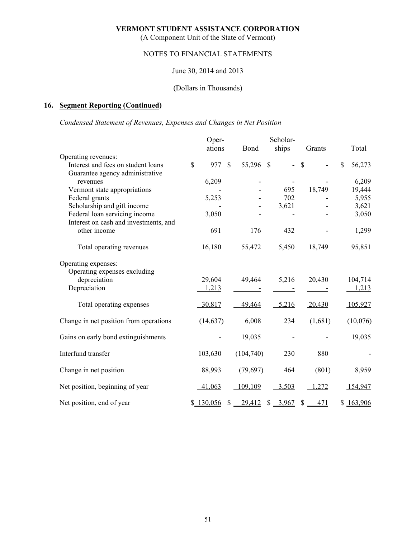(A Component Unit of the State of Vermont)

# NOTES TO FINANCIAL STATEMENTS

# June 30, 2014 and 2013

# (Dollars in Thousands)

# **16. Segment Reporting (Continued)**

# *Condensed Statement of Revenues, Expenses and Changes in Net Position*

|                                        | Oper-     |              |                    | Scholar-                  |               |              |
|----------------------------------------|-----------|--------------|--------------------|---------------------------|---------------|--------------|
|                                        | ations    |              | <b>Bond</b>        | ships                     | Grants        | Total        |
| Operating revenues:                    |           |              |                    |                           |               |              |
| Interest and fees on student loans     | \$<br>977 | $\mathbb{S}$ | 55,296 \$          | $\mathbb{Z}^{\mathbb{Z}}$ | $\mathcal{S}$ | \$<br>56,273 |
| Guarantee agency administrative        |           |              |                    |                           |               |              |
| revenues                               | 6,209     |              |                    |                           |               | 6,209        |
| Vermont state appropriations           |           |              |                    | 695                       | 18,749        | 19,444       |
| Federal grants                         | 5,253     |              |                    | 702                       |               | 5,955        |
| Scholarship and gift income            |           |              |                    | 3,621                     |               | 3,621        |
| Federal loan servicing income          | 3,050     |              |                    |                           |               | 3,050        |
| Interest on cash and investments, and  |           |              |                    |                           |               |              |
| other income                           | 691       |              | 176                | 432                       |               | 1,299        |
| Total operating revenues               | 16,180    |              | 55,472             | 5,450                     | 18,749        | 95,851       |
| Operating expenses:                    |           |              |                    |                           |               |              |
| Operating expenses excluding           |           |              |                    |                           |               |              |
| depreciation                           | 29,604    |              | 49,464             | 5,216                     | 20,430        | 104,714      |
| Depreciation                           | 1,213     |              |                    |                           |               | 1,213        |
| Total operating expenses               | 30,817    |              | 49,464             | 5,216                     | 20,430        | 105,927      |
| Change in net position from operations | (14, 637) |              | 6,008              | 234                       | (1,681)       | (10,076)     |
| Gains on early bond extinguishments    |           |              | 19,035             |                           |               | 19,035       |
| Interfund transfer                     | 103,630   |              | (104,740)          | 230                       | 880           |              |
| Change in net position                 | 88,993    |              | (79, 697)          | 464                       | (801)         | 8,959        |
| Net position, beginning of year        | 41,063    |              | 109,109            | 3,503                     | 1,272         | 154,947      |
| Net position, end of year              | \$130,056 |              | $\frac{29,412}{2}$ | $\frac{3,967}{2}$         | $$ -471$      | \$163,906    |